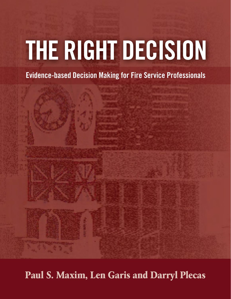# **THE RIGHT DECISION**

**Evidence-based Decision Making for Fire Service Professionals**

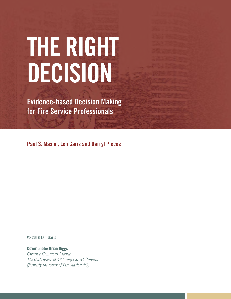# **THE RIGHT DECISION**

**Evidence-based Decision Making for Fire Service Professionals**

**Paul S. Maxim, Len Garis and Darryl Plecas**

**© 2018 Len Garis**

**Cover photo: Brian Biggs** *Creative Commons Licence The clock tower at 484 Yonge Street, Toronto (formerly the tower of Fire Station #3)*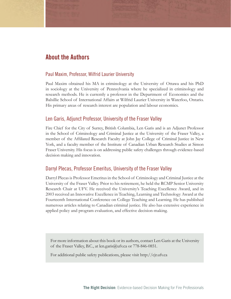# **About the Authors**

#### Paul Maxim, Professor, Wilfrid Laurier University

Paul Maxim obtained his MA in criminology at the University of Ottawa and his PhD in sociology at the University of Pennsylvania where he specialized in criminology and research methods. He is currently a professor in the Department of Economics and the Balsillie School of International Affairs at Wilfrid Laurier University in Waterloo, Ontario. His primary areas of research interest are population and labour economics.

#### Len Garis, Adjunct Professor, University of the Fraser Valley

Fire Chief for the City of Surrey, British Columbia, Len Garis and is an Adjunct Professor in the School of Criminology and Criminal Justice at the University of the Fraser Valley, a member of the Affiliated Research Faculty at John Jay College of Criminal Justice in New York, and a faculty member of the Institute of Canadian Urban Research Studies at Simon Fraser University. His focus is on addressing public safety challenges through evidence-based decision making and innovation.

#### Darryl Plecas, Professor Emeritus, University of the Fraser Valley

Darryl Plecas is Professor Emeritus in the School of Criminology and Criminal Justice at the University of the Fraser Valley. Prior to his retirement, he held the RCMP Senior University Research Chair at UFV. He received the University's Teaching Excellence Award, and in 2003 received an Innovative Excellence in Teaching, Learning and Technology Award at the Fourteenth International Conference on College Teaching and Learning. He has published numerous articles relating to Canadian criminal justice. He also has extensive experience in applied policy and program evaluation, and effective decision-making.

For more information about this book or its authors, contact Len Garis at the University of the Fraser Valley, B.C., at len.garis@ufv.ca or 778-846-0851.

For additional public safety publications, please visit http://cjr.ufv.ca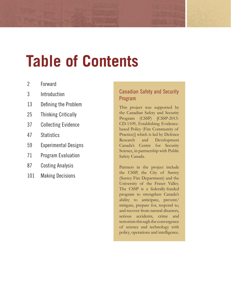# **Table of Contents**

- 2 Forward
- 3 Introduction
- 13 Defining the Problem
- 25 Thinking Critically
- 37 Collecting Evidence
- 47 Statistics
- 59 Experimental Designs
- 71 Program Evaluation
- 87 Costing Analysis
- 101 Making Decisions

### Canadian Safety and Security Program

This project was supported by the Canadian Safety and Security Program (CSSP) [CSSP-2013-CD-1109, Establishing Evidencebased Policy (Fire Community of Practice)] which is led by Defence Research and Development Canada's Centre for Security Science, in partnership with Public Safety Canada.

Partners in the project include the CSSP, the City of Surrey (Surrey Fire Department) and the University of the Fraser Valley. The CSSP is a federally-funded program to strengthen Canada's ability to anticipate, prevent/ mitigate, prepare for, respond to, and recover from natural disasters, serious accidents, crime and terrorism through the convergence of science and technology with policy, operations and intelligence.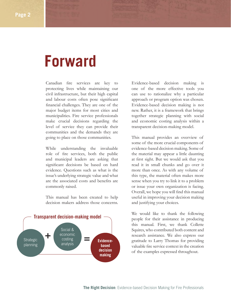# **Forward**

Canadian fire services are key to protecting lives while maintaining our civil infrastructure, but their high capital and labour costs often pose significant financial challenges. They are one of the major budget items for most cities and municipalities. Fire service professionals make crucial decisions regarding the level of service they can provide their communities and the demands they are going to place on those communities.

While understanding the invaluable role of fire services, both the public and municipal leaders are asking that significant decisions be based on hard evidence. Questions such as what is the issue's underlying strategic value and what are the associated costs and benefits are commonly raised.

This manual has been created to help decision makers address those concerns.



Evidence-based decision making is one of the more effective tools you can use to rationalize why a particular approach or program option was chosen. Evidence-based decision making is not new. Rather, it is a framework that brings together strategic planning with social and economic costing analysis within a transparent decision-making model.

This manual provides an overview of some of the more crucial components of evidence-based decision making. Some of the material may appear a little daunting at first sight. But we would ask that you read it in small chunks and go over it more than once. As with any volume of this type, the material often makes more sense when you try to link it to a problem or issue your own organization is facing. Overall, we hope you will find this manual useful in improving your decision making and justifying your choices.

We would like to thank the following people for their assistance in producing this manual. First, we thank Collette Squires, who contributed both content and research assistance. We also express our gratitude to Larry Thomas for providing valuable fire service context in the creation of the examples expressed throughout.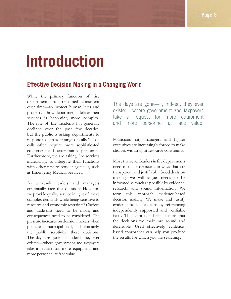# **Introduction**

# **Effective Decision Making in a Changing World**

While the primary function of fire departments has remained consistent over time—to protect human lives and property—how departments deliver their services is becoming more complex. The rate of fire incidents has generally declined over the past few decades, but the public is asking departments to respond to a broader range of calls. Those calls often require more sophisticated equipment and better trained personnel. Furthermore, we are asking fire services increasingly to integrate their functions with other first responder agencies, such as Emergency Medical Services.

As a result, leaders and managers continually face this question: How can we provide quality service in light of more complex demands while being sensitive to resource and economic restraints? Choices and trade-offs need to be made, and consequences need to be considered. The pressure increases on decision makers when politicians, municipal staff, and ultimately, the public scrutinize these decisions. The days are gone—if, indeed, they ever existed—where government and taxpayers take a request for more equipment and more personnel at face value.

The days are gone—if, indeed, they ever existed—where government and taxpayers take a request for more equipment and more personnel at face value.

Politicians, city managers and higher executives are increasingly forced to make choices within tight resource constraints.

More than ever, leaders in fire departments need to make decisions in ways that are transparent and justifiable. Good decision making, we will argue, needs to be informed as much as possible by evidence, research, and sound information. We term this approach evidence-based decision making. We make and justify evidence-based decisions by referencing independently supported and verifiable facts. This approach helps ensure that the decisions we make are sound and defensible. Used effectively, evidencebased approaches can help you produce the results for which you are searching.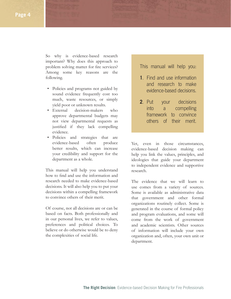So why is evidence-based research important? Why does this approach to problem solving matter for fire services? Among some key reasons are the following.

- Policies and programs not guided by sound evidence frequently cost too much, waste resources, or simply yield poor or unknown results.
- External decision-makers who approve departmental budgets may not view departmental requests as justified if they lack compelling evidence.
- Policies and strategies that are evidence-based often produce better results, which can increase your credibility and support for the department as a whole.

This manual will help you understand how to find and use the information and research needed to make evidence-based decisions. It will also help you to put your decisions within a compelling framework to convince others of their merit.

Of course, not all decisions are or can be based on facts. Both professionally and in our personal lives, we refer to values, preferences and political choices. To believe or do otherwise would be to deny the complexities of social life.

#### This manual will help you:

- **1**. Find and use information and research to make evidence-based decisions.
- **2.** Put your decisions into a compelling framework to convince others of their merit.

Yet, even in those circumstances, evidence-based decision making can help you link the values, principles, and ideologies that guide your department to independent evidence and supportive research.

The evidence that we will learn to use comes from a variety of sources. Some is available as administrative data that government and other formal organizations routinely collect. Some is generated in the course of formal policy and program evaluations, and some will come from the work of government and academic scientists. Other sources of information will include your own organization and, often, your own unit or department.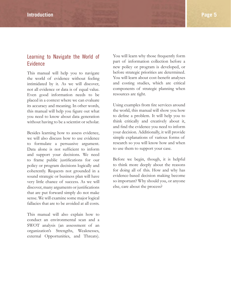#### Learning to Navigate the World of Evidence

This manual will help you to navigate the world of evidence without feeling intimidated by it. As we will discover, not all evidence or data is of equal value. Even good information needs to be placed in a context where we can evaluate its accuracy and meaning. In other words, this manual will help you figure out what you need to know about data generation without having to be a scientist or scholar.

Besides learning how to assess evidence, we will also discuss how to use evidence to formulate a persuasive argument. Data alone is not sufficient to inform and support your decisions. We need to frame public justifications for our policy or program decisions logically and coherently. Requests not grounded in a sound strategic or business plan will have very little chance of success. As we will discover, many arguments or justifications that are put forward simply do not make sense. We will examine some major logical fallacies that are to be avoided at all costs.

This manual will also explain how to conduct an environmental scan and a SWOT analysis (an assessment of an organization's Strengths, Weaknesses, external Opportunities, and Threats).

You will learn why those frequently form part of information collection before a new policy or program is developed, or before strategic priorities are determined. You will learn about cost-benefit analyses and costing studies, which are critical components of strategic planning when resources are tight.

Using examples from fire services around the world, this manual will show you how to define a problem. It will help you to think critically and creatively about it, and find the evidence you need to inform your decision. Additionally, it will provide simple explanations of various forms of research so you will know how and when to use them to support your case.

Before we begin, though, it is helpful to think more deeply about the reasons for doing all of this. How and why has evidence-based decision making become so important? Why should you, or anyone else, care about the process?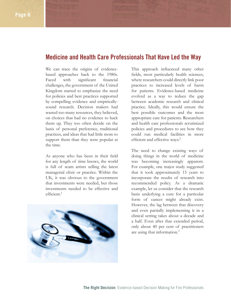# **Medicine and Health Care Professionals That Have Led the Way**

 We can trace the origins of evidencebased approaches back to the 1980s. Faced with significant financial challenges, the government of the United Kingdom started to emphasize the need for policies and best practices supported by compelling evidence and empiricallysound research. Decision makers had wasted too many resources, they believed, on choices that had no evidence to back them up. They too often decide on the basis of personal preference, traditional practices, and ideas that had little more to support them than they were popular at the time.

As anyone who has been in their field for any length of time knows, the world is full of scam artists selling the latest managerial elixir or practice. Within the UK, it was obvious to the government that investments were needed, but those investments needed to be effective and  $efficient<sup>1</sup>$ 



This approach influenced many other fields, most particularly health sciences, where researchers could directly link poor practices to increased levels of harm for patients. Evidence-based medicine evolved as a way to reduce the gap between academic research and clinical practice. Ideally, this would ensure the best possible outcomes and the most appropriate care for patients. Researchers and health care professionals scrutinized policies and procedures to see how they could run medical facilities in more efficient and effective ways.<sup>2</sup>

The need to change existing ways of doing things in the world of medicine was becoming increasingly apparent. For example, one major study suggested that it took approximately 15 years to incorporate the results of research into recommended policy. As a dramatic example, let us consider that the research basis underlying a cure for a particular form of cancer might already exist. However, the lag between that discovery and even partially implementing it in a clinical setting takes about a decade and a half. Even after that extended period, only about 40 per cent of practitioners are using that information. 3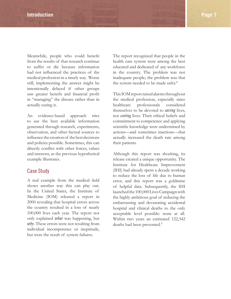Meanwhile, people who could benefit from the results of that research continue to suffer or die because information had not influenced the practices of the medical profession in a timely way. Worse still, implementing the answer might be intentionally delayed if other groups saw greater benefit and financial profit in "managing" the disease rather than in actually curing it.

An evidence-based approach tries to use the best available information generated through research, experiments, observation, and other factual sources to influence the creation of the best decisions and policies possible. Sometimes, this can directly conflict with other forces, values and interests, as the previous hypothetical example illustrates.

#### Case Study

A real example from the medical field shows another way this can play out. In the United States, the Institute of Medicine (IOM) released a report in 2000 revealing that hospital errors across the country resulted in a loss of nearly 100,000 lives each year. The report not only explained *what* was happening, but *why*. These errors were not resulting from individual incompetence or ineptitude, but were the result of system failures.

The report recognized that people in the health care system were among the best educated and dedicated of any workforce in the country. The problem was not inadequate people; the problem was that the system needed to be made safer.<sup>4</sup>

This IOM report raised alarms throughout the medical profession, especially since healthcare professionals considered themselves to be devoted to *saving* lives, not *costing* lives. Their ethical beliefs and commitment to competence and applying scientific knowledge were undermined by actions—and sometimes inactions—that actually increased the death rate among their patients.

Although this report was shocking, its release created a unique opportunity. The Institute for Healthcare Improvement (IHI) had already spent a decade working to reduce the loss of life due to human error, and this report was a goldmine of helpful data. Subsequently, the IHI launched the 100,000 Lives Campaign with the highly ambitious goal of reducing the embarrassing and devastating accidental hospital and clinical deaths to the only acceptable level possible: none at all. Within two years an estimated 122,342 deaths had been prevented.<sup>5</sup>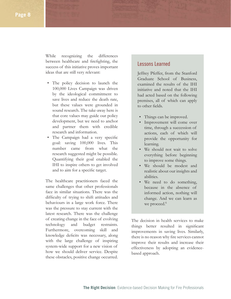While recognizing the differences between healthcare and firefighting, the success of this initiative proves important ideas that are still very relevant:

- The policy decision to launch the 100,000 Lives Campaign was driven by the ideological commitment to save lives and reduce the death rate, but these values were grounded in sound research. The take-away here is that core values may guide our policy development, but we need to anchor and partner them with credible research and information.
- The Campaign had a very specific goal: saving 100,000 lives. This number came from what the research suggested might be possible. Quantifying their goal enabled the IHI to inspire others to get involved and to aim for a specific target.

The healthcare practitioners faced the same challenges that other professionals face in similar situations. There was the difficulty of trying to shift attitudes and behaviours in a large work force. There was the pressure to stay current with the latest research. There was the challenge of creating change in the face of evolving technology and budget restraints. Furthermore, overcoming skill and knowledge deficits was necessary, along with the large challenge of inspiring system-wide support for a new vision of how we should deliver service. Despite these obstacles, positive change occurred.

#### Lessons Learned

Jeffrey Pfeffer, from the Stanford Graduate School of Business, examined the results of the IHI initiative and noted that the IHI had acted based on the following premises, all of which can apply to other fields.

- Things can be improved.
- Improvement will come over time, through a succession of actions, each of which will provide the opportunity for learning.
- We should not wait to solve everything before beginning to improve some things.
- We should be modest and realistic about our insights and abilities.
- We need to do something, because in the absence of informed action, nothing will change. And we can learn as we proceed.<sup>6</sup>

The decision in health services to make things better resulted in significant improvements in saving lives. Similarly, there is no reason why fire services cannot improve their results and increase their effectiveness by adopting an evidencebased approach.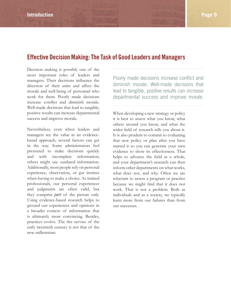# **Effective Decision Making: The Task of Good Leaders and Managers**

Decision making is possibly one of the most important roles of leaders and managers. Their decisions influence the direction of their units and affect the morale and well-being of personnel who work for them. Poorly made decisions increase conflict and diminish morale. Well-made decisions that lead to tangible, positive results can increase departmental success and improve morale.

Nevertheless, even when leaders and managers see the value in an evidencebased approach, several factors can get in the way. Some administrators feel pressured to make decisions quickly and with incomplete information; others might use outdated information. Additionally, most people rely on personal experience, observation, or gut instinct when having to make a choice. As trained professionals, our personal experiences and judgments are often valid, but they comprise *part* of the picture only. Using evidence-based research helps to ground our experiences and opinions in a broader context of information that is ultimately more convincing. Besides, practices evolve. The fire service of the early twentieth century is not that of the new millennium.

Poorly made decisions increase conflict and diminish morale. Well-made decisions that lead to tangible, positive results can increase departmental success and improve morale.

When developing a new strategy or policy it is best to assess what you know, what others around you know, and what the wider field of research tells you about it. It is also prudent to commit to evaluating that new policy or plan after you have started it so you can generate your own evidence to show its effectiveness. That helps to advance the field as a whole, and your department's research can then inform other departments on what works, what does not, and why. Often we are reluctant to assess a program or practice because we might find that it does not work. That is not a problem. Both as individuals and as a society, we typically learn more from our failures than from our successes.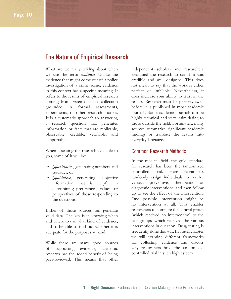# **The Nature of Empirical Research**

What are we really talking about when we use the term *evidence*? Unlike the evidence that might come out of a police investigation of a crime scene, evidence in this context has a specific meaning. It refers to the results of empirical research coming from systematic data collection grounded in formal assessments, experiments, or other research models. It is a systematic approach to answering a research question that generates information or facts that are replicable, observable, credible, verifiable, and supportable.

When assessing the research available to you, some of it will be:

- *Quantitative*, generating numbers and statistics, or
- *Qualitative*, generating subjective information that is helpful in determining preferences, values, or perspectives of those responding to the questions.

Either of those sources can generate valid data. The key is in knowing when and where to use what kind of evidence, and to be able to find out whether it is adequate for the purposes at hand.

While there are many good sources of supporting evidence, academic research has the added benefit of being peer-reviewed. This means that other

independent scholars and researchers examined the research to see if it was credible and well designed. This does not mean to say that the work is either perfect or infallible. Nevertheless, it does increase your ability to trust in the results. Research must be peer-reviewed before it is published in most academic journals. Some academic journals can be highly technical and very intimidating to those outside the field. Fortunately, many sources summarize significant academic findings or translate the results into everyday language.

#### Common Research Methods

In the medical field, the gold standard for research has been the randomized controlled trial. Here researchers randomly assign individuals to receive various preventive, therapeutic or diagnostic interventions, and then follow up to see the effect of the intervention. One possible intervention might be no intervention at all. This enables researchers to compare the control group (which received no intervention) to the test groups, which received the various interventions in question. Drug testing is frequently done this way. In a later chapter we will examine different frameworks for collecting evidence and discuss why researchers hold the randomized controlled trial in such high esteem.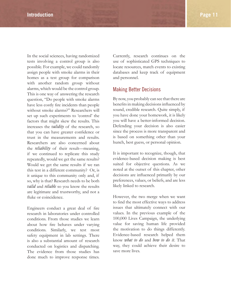In the social sciences, having randomized tests involving a control group is also possible. For example, we could randomly assign people with smoke alarms in their homes as a test group for comparison with another random group without alarms, which would be the control group. This is one way of answering the research question, "Do people with smoke alarms have less costly fire incidents than people without smoke alarms?" Researchers will set up such experiments to 'control' the factors that might skew the results. This increases the *validity* of the research, so that you can have greater confidence or trust in the measurements and results. Researchers are also concerned about the *reliability* of their result—meaning, if we continued to replicate this study repeatedly, would we get the same results? Would we get the same results if we ran this test in a different community? Or, is it unique to this community only and, if so, why is that? Research needs to be both *valid* and *reliable* so you know the results are legitimate and trustworthy, and not a fluke or coincidence.

Engineers conduct a great deal of fire research in laboratories under controlled conditions. From those studies we learn about how fire behaves under varying conditions. Similarly, we test most safety equipment in lab settings. There is also a substantial amount of research conducted on logistics and dispatching. The evidence from those studies has done much to improve response times.

Currently, research continues on the use of sophisticated GPS techniques to locate resources, match events to existing databases and keep track of equipment and personnel.

#### Making Better Decisions

By now, you probably can see that there are benefits in making decisions influenced by sound, credible research. Quite simply, if you have done your homework, it is likely you will have a better-informed decision. Defending your decision is also easier since the process is more transparent and is based on something other than your hunch, best guess, or personal opinion.

It is important to recognize, though, that evidence-based decision making is best suited for objective questions. As we noted at the outset of this chapter, other decisions are influenced primarily by our preferences, values, or beliefs, and are less likely linked to research.

However, the two merge when we want to find the most effective ways to address issues that ultimately connect with our values. In the previous example of the 100,000 Lives Campaign, the underlying value for saving human life provided the motivation to do things differently. Evidence-based research helped them know *what to do* and *how to do it*. That way, they could achieve their desire to save more lives.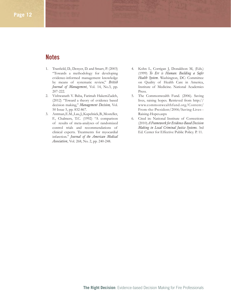# **Notes**

- 1. Tranfield, D., Denyer, D. and Smart, P. (2003) "Towards a methodology for developing evidence-informed management knowledge by means of systematic review," *British Journal of Management*, Vol. 14, No.3, pp. 207-222.
- 2. Vishwanath V. Baba, Farimah HakemZadeh, (2012) "Toward a theory of evidence based decision making," *Management Decision,* Vol. 50 Issue 5, pp. 832-867.
- 3. Antman, E.M., Lau, J., Kupelnick, B., Mosteller, F., Chalmers, T.C. (1992) "A comparison of results of meta-analyses of randomized control trials and recommendations of clinical experts. Treatments for myocardial infarction." *Journal of the American Medical Association*, Vol. 268, No. 2, pp. 240-248.
- 4. Kohn L, Corrigan J, Donaldson M, (Eds.) (1999) *To Err is Human: Building a Safer Health System*. Washington, DC: Committee on Quality of Health Care in America, Institute of Medicine. National Academies Press.
- 5. The Commonwealth Fund. (2006). Saving lives, raising hopes. Retrieved from http:// www.commonwealthfund.org/Content/ From-the-President/2006/Saving-Lives-- Raising-Hopes.aspx
- 6. Cited in: National Institute of Corrections (2010) *A Framework for Evidence-Based Decision Making in Local Criminal Justice Systems*. 3rd Ed. Center for Effective Public Policy. P. 11.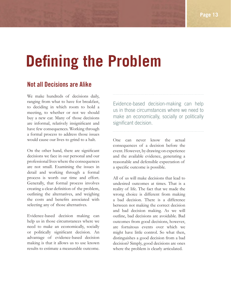# **Defining the Problem**

# **Not all Decisions are Alike**

We make hundreds of decisions daily, ranging from what to have for breakfast, to deciding in which room to hold a meeting, to whether or not we should buy a new car. Many of those decisions are informal, relatively insignificant and have few consequences. Working through a formal process to address those issues would cause our lives to grind to a halt.

On the other hand, there are significant decisions we face in our personal and our professional lives where the consequences are not small. Examining the issues in detail and working through a formal process is worth our time and effort. Generally, that formal process involves creating a clear definition of the problem, outlining the alternatives, and weighing the costs and benefits associated with selecting any of those alternatives.

Evidence-based decision making can help us in those circumstances where we need to make an economically, socially or politically significant decision. An advantage of evidence-based decision making is that it allows us to use known results to estimate a measurable outcome.

Evidence-based decision-making can help us in those circumstances where we need to make an economically, socially or politically significant decision.

One can never know the actual consequences of a decision before the event. However, by drawing on experience and the available evidence, generating a reasonable and defensible expectation of a specific outcome is possible.

All of us will make decisions that lead to undesired outcomes at times. That is a reality of life. The fact that we made the wrong choice is different from making a bad decision. There is a difference between not making the correct decision and bad decision making. As we will outline, bad decisions are avoidable. Bad outcomes from good decisions, however, are fortuitous events over which we might have little control. So what then, distinguishes a good decision from a bad decision? Simply, good decisions are ones where the problem is clearly articulated.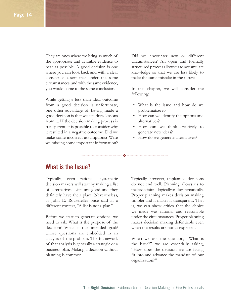They are ones where we bring as much of the appropriate and available evidence to bear as possible. A good decision is one where you can look back and with a clear conscience assert that under the same circumstances, and with the same evidence, you would come to the same conclusion.

While getting a less than ideal outcome from a good decision is unfortunate, one other advantage of having made a good decision is that we can draw lessons from it. If the decision making process is transparent, it is possible to consider why it resulted in a negative outcome. Did we make some incorrect assumptions? Were we missing some important information?

Did we encounter new or different circumstances? An open and formally structured process allows us to accumulate knowledge so that we are less likely to make the same mistake in the future.

In this chapter, we will consider the following:

- What is the issue and how do we problematize it?
- How can we identify the options and alternatives?
- How can we think creatively to generate new ideas?
- How do we generate alternatives?

❖

### **What is the Issue?**

Typically, even rational, systematic decision makers will start by making a list of alternatives. Lists are good and they definitely have their place. Nevertheless, as John D. Rockefeller once said in a different context, "A list is not a plan."

Before we start to generate options, we need to ask: What is the purpose of the decision? What is our intended goal? Those questions are embedded in an analysis of the problem. The framework of that analysis is generally a strategic or a business plan. Making a decision without planning is common.

Typically, however, unplanned decisions do not end well. Planning allows us to make decisions logically and systematically. Proper planning makes decision making simpler and it makes it transparent. That is, we can show critics that the choice we made was rational and reasonable under the circumstances. Proper planning makes decision making defendable even when the results are not as expected.

When we ask the question, "What is the issue?" we are essentially asking, "How does the decision we are facing fit into and advance the mandate of our organization?"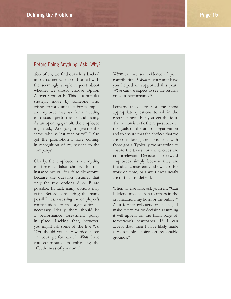#### Before Doing Anything, Ask "Why?"

Too often, we find ourselves backed into a corner when confronted with the seemingly simple request about whether we should choose Option A over Option B. This is a popular strategic move by someone who wishes to force an issue. For example, an employee may ask for a meeting to discuss performance and salary. As an opening gambit, the employee might ask, "Are going to give me the same raise as last year or will I also get the promotion I have coming in recognition of my service to the company?"

Clearly, the employee is attempting to force a false choice. In this instance, we call it a false dichotomy because the question assumes that only the two options A or B are possible. In fact, many options may exist. Before considering the many possibilities, assessing the employee's contributions to the organization is necessary. Ideally, there should be a performance assessment policy in place. Lacking that, however, you might ask some of the five Ws. *Why* should you be rewarded based on your performance? *What* have you contributed to enhancing the effectiveness of your unit?

*Where* can we see evidence of your contributions? *Who* in your unit have you helped or supported this year? *When* can we expect to see the returns on your performance?

Perhaps these are not the most appropriate questions to ask in the circumstances, but you get the idea. The notion is to tie the request back to the goals of the unit or organization and to ensure that the choices that we are considering are consistent with those goals. Typically, we are trying to ensure the bases for the choices are not irrelevant. Decisions to reward employees simply because they are friendly, consistently show up for work on time, or always dress neatly are difficult to defend.

When all else fails, ask yourself, "Can I defend my decision to others in the organization, my boss, or the public?" As a former colleague once said, "I make every major decision assuming it will appear on the front page of tomorrow's newspaper. If I can accept that, then I have likely made a reasonable choice on reasonable grounds."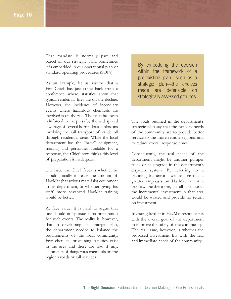That mandate is normally part and parcel of our strategic plan. Sometimes it is embedded in our operational plan or standard operating procedures (SOPs).

As an example, let us assume that a Fire Chief has just come back from a conference where statistics show that typical residential fires are on the decline. However, the incidence of incendiary events where hazardous chemicals are involved is on the rise. The issue has been reinforced in the press by the widespread coverage of several horrendous explosions involving the rail transport of crude oil through residential areas. While the local department has the "basic" equipment, training and personnel available for a response, the Chief now thinks this level of preparation is inadequate.

The issue the Chief faces is whether he should initially increase the amount of HazMat (hazardous materials) equipment in his department, or whether giving his staff more advanced HazMat training would be better.

At face value, it is hard to argue that one should not pursue extra preparation for such events. The reality is, however, that in developing its strategic plan, the department needed to balance the requirements of the local community. Few chemical processing facilities exist in the area and there are few, if any, shipments of dangerous chemicals on the region's roads or rail services.

By embedding the decision within the framework of a pre-existing plan—such as a strategic plan—the choices made are defensible on strategically assessed grounds.

The goals outlined in the department's strategic plan say that the primary needs of the community are to provide better service to the more remote regions, and to reduce overall response times.

Consequently, the real needs of the department might be another pumper truck or an upgrade in the department's dispatch system. By referring to a planning framework, we can see that a greater emphasis on HazMat is not a priority. Furthermore, in all likelihood, the incremental investment in that area would be wasted and provide no return on investment.

Investing further in HazMat response fits with the overall goal of the department to improve the safety of the community. The real issue, however, is whether the proposed investment fits with the real and immediate needs of the community.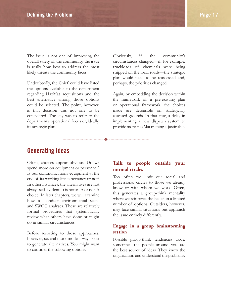The issue is not one of improving the overall safety of the community, the issue is really how best to address the most likely threats the community faces.

Undoubtedly, the Chief could have listed the options available to the department regarding HazMat acquisitions and the best alternative among those options could be selected. The point, however, is that decision was not one to be considered. The key was to refer to the department's operational focus or, ideally, its strategic plan.

❖

Obviously, if the community's circumstances changed—if, for example, truckloads of chemicals were being shipped on the local roads—the strategic plan would need to be reassessed and, perhaps, the priorities changed.

Again, by embedding the decision within the framework of a pre-existing plan or operational framework, the choices made are defensible on strategically assessed grounds. In that case, a delay in implementing a new dispatch system to provide more HazMat training is justifiable.

# **Generating Ideas**

Often, choices appear obvious. Do we spend more on equipment or personnel? Is our communications equipment at the end of its working life expectancy or not? In other instances, the alternatives are not always self-evident. It is not an A or not-A choice. In later chapters, we will examine how to conduct environmental scans and SWOT analyses. These are relatively formal procedures that systematically review what others have done or might do in similar circumstances.

Before resorting to those approaches, however, several more modest ways exist to generate alternatives. You might want to consider the following options.

#### **Talk to people outside your normal circles**

Too often we limit our social and professional circles to those we already know or with whom we work. Often, this generates a group-think mentality where we reinforce the belief in a limited number of options. Outsiders, however, may face similar situations but approach the issue entirely differently.

#### **Engage in a group brainstorming session**

Possible group-think tendencies aside, sometimes the people around you are the best source of ideas. They know the organization and understand the problems.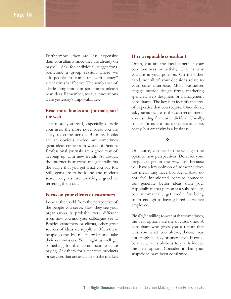Furthermore, they are less expensive than consultants since they are already on payroll. Ask for individual suggestions. Sometime a group session where we ask people to come up with "crazy" alternatives is effective. The semblance of a little competition can sometimes unleash new ideas. Remember, today's innovations were yesterday's impossibilities.

#### **Read more books and journals; surf the web**

The more you read, especially outside your area, the more novel ideas you are likely to come across. Business books are an obvious choice but sometimes great ideas come from works of fiction. Professional journals are a good way of keeping up with new trends. As always, the internet is anarchy and generally fits the adage that you get what you pay for. Still, gems are to be found and modern search engines are amazingly good at ferreting them out.

#### **Focus on your clients or customers**

Look at the world from the perspective of the people you serve. How they see your organization is probably very different from how you and your colleagues see it. Besides customers or clients, other great sources of ideas are suppliers. Often these people come by, fill an order and take their commission. You might as well get something for that commission you are paying. Ask them for alternative products or services that are available on the market.

#### **Hire a reputable consultant**

Often, you are the local expert at your core business or activity. That is why you are in your position. On the other hand, not all of your decisions relate to your core enterprise. Most businesses engage outside design firms, marketing agencies, web designers or management consultants. The key is to identify the area of expertise that you require. Once done, ask your associates if they can recommend a consulting firm or individual. Usually, smaller firms are more creative and less costly, but creativity is a business.

#### ❖

Of course, you need to be willing to be open to new perspectives. Don't let your prejudices get in the way. Just because you have a low opinion of someone does not mean they have bad ideas. Also, do not feel intimidated because someone can generate better ideas than you. Especially if that person is a subordinate, you automatically get credit for being smart enough to having hired a creative employee.

Finally, be willing to accept that sometimes, the best options are the obvious ones. A consultant who gives you a report that tells you what you already know, may not simply be lazy or uncreative. It could be that what is obvious to you is indeed the best option. Consider it that your suspicions have been confirmed.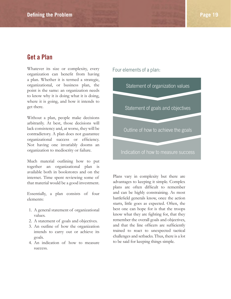# **Get a Plan**

Whatever its size or complexity, every organization can benefit from having a plan. Whether it is termed a strategic, organizational, or business plan, the point is the same: an organization needs to know why it is doing what it is doing, where it is going, and how it intends to get there.

Without a plan, people make decisions arbitrarily. At best, those decisions will lack consistency and, at worse, they will be contradictory. A plan does not guarantee organizational success or efficiency. Not having one invariably dooms an organization to mediocrity or failure.

Much material outlining how to put together an organizational plan is available both in bookstores and on the internet. Time spent reviewing some of that material would be a good investment.

Essentially, a plan consists of four elements:

- 1. A general statement of organizational values.
- 2. A statement of goals and objectives.
- 3. An outline of how the organization intends to carry out or achieve its goals.
- 4. An indication of how to measure success.

Four elements of a plan:



Plans vary in complexity but there are advantages to keeping it simple. Complex plans are often difficult to remember and can be highly constraining. As most battlefield generals know, once the action starts, little goes as expected. Often, the best one can hope for is that the troops know what they are fighting for, that they remember the overall goals and objectives, and that the line officers are sufficiently trained to react to unexpected tactical challenges and setbacks. Thus, there is a lot to be said for keeping things simple.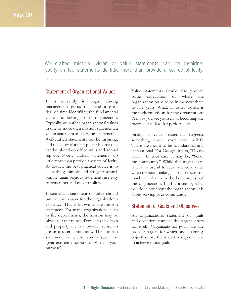Well-crafted mission, vision or value statements can be inspiring; poorly crafted statements do little more than provide a source of levity.

#### Statement of Organizational Values

It is currently in vogue among management gurus to spend a great deal of time identifying the fundamental values underlying our organization. Typically, we outline organizational values in one or more of: a mission statement, a vision statement and a values statement. Well-crafted statements can be inspiring, and make for eloquent poster boards that can be placed on office walls and annual reports. Poorly crafted statements do little more than provide a source of levity. As always, the best practical advice is to keep things simple and straightforward. Simple, unambiguous statements are easy to remember and easy to follow.

Essentially, a statement of value should outline the reason for the organization's existence. This is known as the mission statement. For many organizations, such as fire departments, the mission may be obvious. Your raison d'être is to save lives and property or, in a broader sense, to create a safer community. The mission statement is where you answer the great existential question, "What is your purpose?"

Value statements should also provide some expectation of where the organization plans to be in the next three to five years. What, in other words, is the midterm vision for the organization? Perhaps you see yourself as becoming the regional standard for performance.

Finally, a values statement suggests something about your core beliefs. These are meant to be foundational and inspirational. For Google, it was, "Do no harm." In your case, it may be, "Serve the community." While this might seem trite, it is useful to recall the core value when decision making starts to focus too much on what is in the best interest of the organization. In this instance, what you do is not about the organization; it is about serving your community.

#### Statement of Goals and Objectives

An organization's statement of goals and objectives contains the targets it sets for itself. Organizational goals are the broader targets for which one is aiming; objectives are the midterm step one sets to achieve those goals.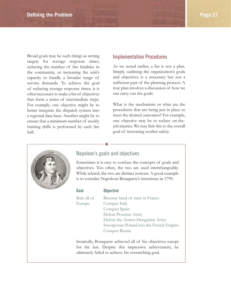Broad goals may be such things as setting targets for average response times, reducing the number of fire fatalities in the community, or increasing the unit's capacity to handle a broader range of service demands. To achieve the goal of reducing average response times, it is often necessary to make a list of objectives that form a series of intermediate steps. For example, one objective might be to better integrate the dispatch system into a regional data base. Another might be to ensure that a minimum number of weekly training drills is performed by each fire hall.

#### Implementation Procedures

As we noted earlier, a list is not a plan. Simply outlining the organization's goals and objectives is a necessary but not a sufficient part of the planning process. A true plan involves a discussion of how we can carry out the goals.

What is the mechanism or what are the procedures that are being put in place to meet the desired outcomes? For example, one objective may be to reduce on-thejob injuries. We may link this to the overall goal of increasing worker safety.



#### Napoleon's goals and objectives

❖

Sometimes it is easy to confuse the concepts of goals and objectives. Too often, the two are used interchangeably. While related, the two are distinct notions. A good example is to consider Napoleon Bonaparte's intentions in 1799.

| Goal        | <b>Objective</b>                          |
|-------------|-------------------------------------------|
| Rule all of | Become head of state in France            |
| Europe      | Conquer Italy                             |
|             | Conquer Spain                             |
|             | Defeat Prussian Army                      |
|             | Defeat the Austro-Hungarian Army          |
|             | Incorporate Poland into the French Empire |
|             | Conquer Russia                            |
|             |                                           |

Ironically, Bonaparte achieved all of his objectives except for the last. Despite this impressive achievement, he ultimately failed to achieve his overarching goal.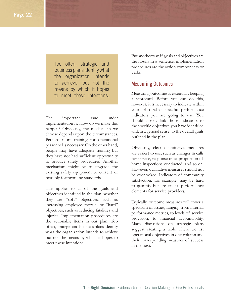Too often, strategic and business plans identify what the organization intends to achieve, but not the means by which it hopes to meet those intentions.

The important issue under implementation is: How do we make this happen? Obviously, the mechanism we choose depends upon the circumstances. Perhaps more training for operational personnel is necessary. On the other hand, people may have adequate training but they have not had sufficient opportunity to practice safety procedures. Another mechanism might be to upgrade the existing safety equipment to current or possibly forthcoming standards.

This applies to all of the goals and objectives identified in the plan, whether they are "soft" objectives, such as increasing employee morale, or "hard" objectives, such as reducing fatalities and injuries. Implementation procedures are the actionable items in our plan. Too often, strategic and business plans identify what the organization intends to achieve but not the means by which it hopes to meet those intentions.

Put another way, if goals and objectives are the nouns in a sentence, implementation procedures are the action components or verbs.

#### Measuring Outcomes

Measuring outcomes is essentially keeping a scorecard. Before you can do this, however, it is necessary to indicate within your plan what specific performance indicators you are going to use. You should closely link those indicators to the specific objectives you have identified and, in a general sense, to the overall goals outlined in the plan.

Obviously, clear quantitative measures are easiest to use, such as changes in calls for service, response time, proportion of home inspections conducted, and so on. However, qualitative measures should not be overlooked. Indicators of community satisfaction, for example, may be hard to quantify but are crucial performance elements for service providers.

Typically, outcome measures will cover a spectrum of issues, ranging from internal performance metrics, to levels of service provision, to financial accountability. Many discussions on strategic plans suggest creating a table where we list operational objectives in one column and their corresponding measures of success in the next.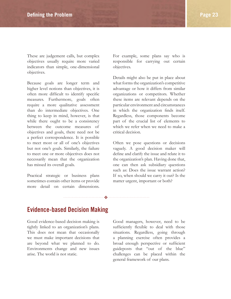These are judgement calls, but complex objectives usually require more varied indicators than simple, one-dimensional objectives.

Because goals are longer term and higher level notions than objectives, it is often more difficult to identify specific measures. Furthermore, goals often require a more qualitative assessment than do intermediate objectives. One thing to keep in mind, however, is that while there ought to be a consistency between the outcome measures of objectives and goals, there need not be a perfect correspondence. It is possible to meet most or all of one's objectives but not one's goals. Similarly, the failure to meet one or more objectives does not necessarily mean that the organization has missed its overall goals.

Practical strategic or business plans sometimes contain other items or provide more detail on certain dimensions.

For example, some plans say who is responsible for carrying out certain objectives.

Details might also be put in place about what forms the organization's competitive advantage or how it differs from similar organizations or competitors. Whether these items are relevant depends on the particular environment and circumstances in which the organization finds itself. Regardless, those components become part of the crucial list of elements to which we refer when we need to make a critical decision.

Often we pose questions or decisions vaguely. A good decision maker will define and clarify the issue and relate it to the organization's plan. Having done that, one can then ask subsidiary questions such as: Does the issue warrant action? If so, when should we carry it out? Is the matter urgent, important or both?

# **Evidence-based Decision Making**

❖

Good evidence-based decision making is tightly linked to an organization's plans. This does not mean that occasionally we must make important decisions that are beyond what we planned to do. Environments change and new issues arise. The world is not static.

Good managers, however, need to be sufficiently flexible to deal with those situations. Regardless, going through a planning exercise often provides a broad enough perspective or sufficient guideposts that "out of the blue" challenges can be placed within the general framework of our plans.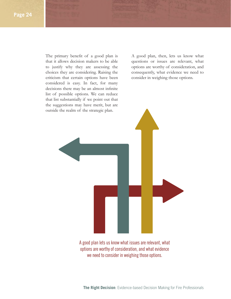The primary benefit of a good plan is that it allows decision makers to be able to justify why they are assessing the choices they are considering. Raising the criticism that certain options have been considered is easy. In fact, for many decisions there may be an almost infinite list of possible options. We can reduce that list substantially if we point out that the suggestions may have merit, but are outside the realm of the strategic plan.

A good plan, then, lets us know what questions or issues are relevant, what options are worthy of consideration, and consequently, what evidence we need to consider in weighing those options.



A good plan lets us know what issues are relevant, what options are worthy of consideration, and what evidence we need to consider in weighing those options.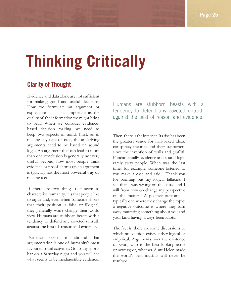# **Thinking Critically**

# **Clarity of Thought**

Evidence and data alone are not sufficient for making good and useful decisions. How we formulate an argument or explanation is just as important as the quality of the information we might bring to bear. When we consider evidencebased decision making, we need to keep two aspects in mind. First, as in making any type of case, the underlying arguments need to be based on sound logic. An argument that can lead to more than one conclusion is generally not very useful. Second, how most people think evidence or proof shores up an argument is typically not the most powerful way of making a case.

If there are two things that seem to characterise humanity, it is that people like to argue and, even when someone shows that their position is false or illogical, they generally won't change their world view. Humans are stubborn beasts with a tendency to defend any coveted untruth against the best of reason and evidence.

Evidence seems to abound that argumentation is one of humanity's most favoured social activities. Go to any sports bar on a Saturday night and you will see what seems to be inexhaustible evidence.

Humans are stubborn beasts with a tendency to defend any coveted untruth against the best of reason and evidence.

Then, there is the internet. Its rise has been the greatest venue for half-baked ideas, conspiracy theories and their supporters since the invention of walls and graffiti. Fundamentally, evidence and sound logic rarely sway people. When was the last time, for example, someone listened to you make a case and said, "Thank you for pointing out my logical fallacies. I see that I was wrong on this issue and I will from now on change my perspective on the matter." A positive outcome is typically one where they change the topic; a negative outcome is where they turn away muttering something about you and your kind having always been idiots.

The fact is, there are some discussions to which no solution exists, either logical or empirical. Arguments over the existence of God; who is the best looking actor or actress; or, whether Aunt Helen made the world's best muffins will never be resolved.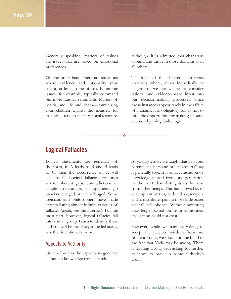Generally speaking, matters of values are issues that are based on emotional preferences.

On the other hand, there are situations where evidence and rationality sway us (or, at least, some of us). Economic issues, for example, typically command our more rational sentiments. Matters of health, and life and death—immunizing your children against the measles, for instance—tend to elicit a rational response.

❖

Although, it is admitted that charlatans abound and thrive in those domains as in all others.

The focus of this chapter is on those instances where, either individually or in groups, we are willing to consider rational and evidence-based input into our decision-making processes. Since those instances appear rarely in the affairs of humans, it is obligatory for us not to miss the opportunity for making a sound decision by using faulty logic.

# **Logical Fallacies**

Logical statements are generally of the form, if A leads to B and B leads to C, then the occurrence of A will lead to C. Logical fallacies are ones where inherent gaps, contradictions or simple irrelevancies in arguments go unacknowledged or unchallenged. Some logicians and philosophers have made careers listing almost infinite varieties of fallacies (again, see the internet). For the most part, however, logical fallacies fall into a small group. Learn to identify these and you will be less likely to be led astray, whether intentionally or not.

#### Appeals to Authority

None of us has the capacity to generate all human knowledge from scratch.

As youngsters we are taught that what our parents, teachers and other "experts" say is generally true. It is an accumulation of knowledge passed from one generation to the next that distinguishes humans from other beings. This has allowed us to develop antibiotics, to build skyscrapers and to distribute spam to those little boxes we call cell phones. Without accepting knowledge passed on from authorities, civilization could not exist.

However, while we may be willing to accept the received wisdom from our resident Yodas, we should not be blind to the fact that Yoda may be wrong. There is nothing wrong with asking for further evidence to back up some authority's claim.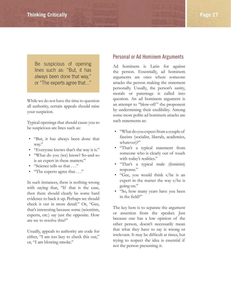Be suspicious of opening lines such as: "But, it has always been done that way," or "The experts agree that..."

While we do not have the time to question all authority, certain appeals should raise your suspicion.

Typical openings that should cause you to be suspicious are lines such as:

- "But, it has always been done that way."
- "Everyone knows that's the way it is."
- "What do you (we) know? So-and-so is an expert in these matters."
- "Science tells us that . . ."
- "The experts agree that . . ."

In such instances, there is nothing wrong with saying that, "If that is the case, then there should clearly be some hard evidence to back it up. Perhaps we should check it out in more detail." Or, "Gee, that's interesting because some (scientists, experts, etc.) say just the opposite. How are we to resolve this?"

Usually, appeals to authority are code for either, "I am too lazy to check this out," or, "I am blowing smoke."

#### Personal or Ad Hominem Arguments

Ad hominem is Latin for against the person. Essentially, ad hominem arguments are ones where someone attacks the person making the statement personally. Usually, the person's sanity, morals or parentage is called into question. An ad hominem argument is an attempt to "blow-off" the proponent by undermining their credibility. Among some more polite ad hominem attacks are such statements as:

- "What do you expect from a couple of fascists (socialist, liberals, academics, whatever)?"
- "That's a typical statement from someone who is clearly out of touch with today's realities."
- "That's a typical male (feminist) response."
- "Gee, you would think s/he is an expert in the matter the way s/he is going on."
- "So, how many years have you been in the field?"

The key here is to separate the argument or assertion from the speaker. Just because one has a low opinion of the other person, doesn't necessarily mean that what they have to say is wrong or irrelevant. It may be difficult at times, but trying to respect the idea is essential if not the person presenting it.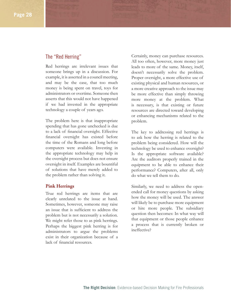#### The "Red Herring"

Red herrings are irrelevant issues that someone brings up in a discussion. For example, it is asserted in a council meeting, and may be the case, that too much money is being spent on travel, toys for administrators or overtime. Someone then asserts that this would not have happened if we had invested in the appropriate technology a couple of years ago.

The problem here is that inappropriate spending that has gone unchecked is due to a lack of financial oversight. Effective financial oversight has existed before the time of the Romans and long before computers were available. Investing in the appropriate technology may help in the oversight process but does not ensure oversight in itself. Examples are bountiful of solutions that have merely added to the problem rather than solving it.

#### **Pink Herrings**

True red herrings are items that are clearly unrelated to the issue at hand. Sometimes, however, someone may raise an issue that is sufficient to address the problem but is not necessarily a solution. We might refer those to as pink herrings. Perhaps the biggest pink herring is for administrators to argue the problems exist in their organization because of a lack of financial resources.

Certainly, money can purchase resources. All too often, however, more money just leads to more of the same. Money, itself, doesn't necessarily solve the problem. Proper oversight, a more effective use of existing physical and human resources, or a more creative approach to the issue may be more effective than simply throwing more money at the problem. What is necessary, is that existing or future resources are directed toward developing or enhancing mechanisms related to the problem.

The key to addressing red herrings is to ask how the herring is related to the problem being considered. How will the technology be used to enhance oversight? Is the appropriate software available? Are the auditors properly trained in the equipment to be able to enhance their performance? Computers, after all, only do what we tell them to do.

Similarly, we need to address the openended call for money questions by asking how the money will be used. The answer will likely be to purchase more equipment or hire more people. The subsidiary question then becomes: In what way will that equipment or those people enhance a process that is currently broken or ineffective?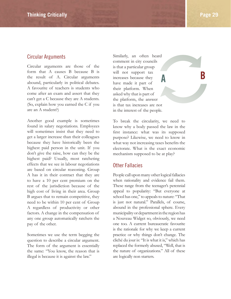B

#### Circular Arguments

Circular arguments are those of the form that A causes B because B is the result of A. Circular arguments abound, particularly in political debates. A favourite of teachers is students who come after an exam and assert that they can't get a C because they are A students. (So, explain how you earned the C if you are an A student?)

Another good example is sometimes found in salary negotiations. Employees will sometimes insist that they need to get a larger increase than their colleagues because they have historically been the highest paid person in the unit. If you don't give the raise, how can they be the highest paid? Usually, most ratcheting effects that we see in labour negotiations are based on circular reasoning. Group A has it in their contract that they are to have a 10 per cent premium on the rest of the jurisdiction because of the high cost of living in their area. Group B argues that to remain competitive, they need to be within 10 per cent of Group A regardless of productivity or other factors. A change in the compensation of any one group automatically ratchets the pay of the other.

Sometimes we use the term begging the question to describe a circular argument. The form of the argument is essentially the same: "You know, the reason that is illegal is because it is against the law."

Similarly, an often heard comment in city councils is that a particular group will not support tax increases because they have made it part of their platform. When asked why that is part of the platform, the answer is that tax increases are not in the interest of the people.

To break the circularity, we need to know why a body passed the law in the first instance: what was its supposed purpose? Likewise, we need to know in what way not increasing taxes benefits the electorate. What is the exact economic mechanism supposed to be at play?

#### Other Fallacies

People call upon many other logical fallacies when rationality and evidence fail them. These range from the teenager's perennial appeal to popularity: "But everyone at school has one," to appeals to nature: "That is just not natural." Parallels, of course, abound in the professional sphere. Every municipality or department in the region has a Nouveau Widget so, obviously, we need one too. A current bureaucratic favourite is the rationale for why we keep a current practice or why things don't change. The cliché du jour is: "It is what it is," which has replaced the formerly abused, "Well, that is the nature of organizations." All of these are logically non starters.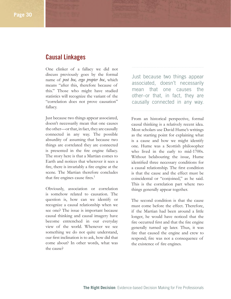# **Causal Linkages**

One clinker of a fallacy we did not discuss previously goes by the formal name of *post hoc, ergo propter hoc*, which means "after this, therefore because of this." Those who might have studied statistics will recognize the variant of the "correlation does not prove causation" fallacy.

Just because two things appear associated, doesn't necessarily mean that one causes the other—or that, in fact, they are causally connected in any way. The possible absurdity of assuming that because two things are correlated they are connected is presented in the fire engine fallacy. The story here is that a Martian comes to Earth and notices that wherever it sees a fire, there is invariably a fire engine at the scene. The Martian therefore concludes that fire engines cause fires. $<sup>1</sup>$ </sup>

Obviously, association or correlation is somehow related to causation. The question is, how can we identify or recognize a causal relationship when we see one? The issue is important because causal thinking and causal imagery have become entrenched in our everyday view of the world. Whenever we see something we do not quite understand, our first inclination is to ask, how did that come about? In other words, what was the cause?

Just because two things appear associated, doesn't necessarily mean that one causes the other–or that, in fact, they are causally connected in any way.

From an historical perspective, formal causal thinking is a relatively recent idea. Most scholars use David Hume's writings as the starting point for explaining what is a cause and how we might identify one. Hume was a Scottish philosopher who lived in the early to mid-1700s. Without belabouring the issue, Hume identified three necessary conditions for a causal relationship. The first condition is that the cause and the effect must be coincidental or "conjoined," as he said. This is the correlation part where two things generally appear together.

The second condition is that the cause must come before the effect. Therefore, if the Martian had been around a little longer, he would have noticed that the fire occurred first and that the fire engine generally turned up later. Thus, it was fire that caused the engine and crew to respond; fire was not a consequence of the existence of fire engines.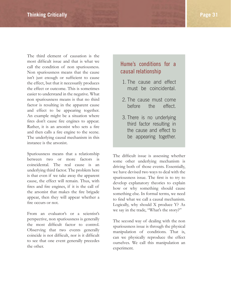The third element of causation is the most difficult issue and that is what we call the condition of non spuriousness. Non spuriousness means that the cause isn't just enough or sufficient to cause the effect, but that it necessarily produces the effect or outcome. This is sometimes easier to understand in the negative. What non spuriousness means is that no third factor is resulting in the apparent cause and effect to be appearing together. An example might be a situation where fires don't cause fire engines to appear. Rather, it is an arsonist who sets a fire and then calls a fire engine to the scene. The underlying causal mechanism in this instance is the arsonist.

Spuriousness means that a relationship between two or more factors is coincidental. The real cause is an underlying third factor. The problem here is that even if we take away the apparent cause, the effect will remain. Thus, with fires and fire engines, if it is the call of the arsonist that makes the fire brigade appear, then they will appear whether a fire occurs or not.

From an evaluator's or a scientist's perspective, non spuriousness is generally the most difficult factor to control. Observing that two events generally coincide is not difficult, nor is it difficult to see that one event generally precedes the other.

### Hume's conditions for a causal relationship

- 1. The cause and effect must be coincidental.
- 2. The cause must come before the effect.
- 3. There is no underlying third factor resulting in the cause and effect to be appearing together.

The difficult issue is assessing whether some other underlying mechanism is driving both of those events. Essentially, we have devised two ways to deal with the spuriousness issue. The first is to try to develop explanatory theories to explain how or why something should cause something else. In formal terms, we need to find what we call a causal mechanism. Logically, why should X produce Y? As we say in the trade, "What's the story?"

The second way of dealing with the non spuriousness issue is through the physical manipulation of conditions. That is, can we physically reproduce the effect ourselves. We call this manipulation an experiment.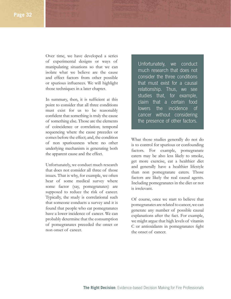Over time, we have developed a series of experimental designs or ways of manipulating situations so that we can isolate what we believe are the cause and effect factors from other possible or spurious influences. We will highlight those techniques in a later chapter.

In summary, then, it is sufficient at this point to consider that all three conditions must exist for us to be reasonably confident that something is truly the cause of something else. Those are the elements of coincidence or correlation; temporal sequencing where the cause precedes or comes before the effect; and, the condition of non spuriousness where no other underlying mechanism is generating both the apparent cause and the effect.

Unfortunately, we conduct much research that does not consider all three of those issues. That is why, for example, we often hear of some medical survey where some factor (say, pomegranates) are supposed to reduce the risk of cancer. Typically, the study is correlational such that someone conducts a survey and it is found that people who eat pomegranates have a lower incidence of cancer. We can probably determine that the consumption of pomegranates preceded the onset or non onset of cancer.

Unfortunately, we conduct much research that does not consider the three conditions that must exist for a causal relationship. Thus, we see studies that, for example, claim that a certain food lowers the incidence of cancer without considering the presence of other factors.

What those studies generally do not do is to control for spurious or confounding factors. For example, pomegranate eaters may be also less likely to smoke, get more exercise, eat a healthier diet and generally have a healthier lifestyle than non pomegranate eaters. Those factors are likely the real causal agents. Including pomegranates in the diet or not is irrelevant.

Of course, once we start to believe that pomegranates are related to cancer, we can generate any number of possible causal explanations after the fact. For example, we might argue that high levels of vitamin C or antioxidants in pomegranates fight the onset of cancer.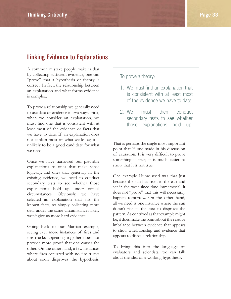# **Linking Evidence to Explanations**

A common mistake people make is that by collecting sufficient evidence, one can "prove" that a hypothesis or theory is correct. In fact, the relationship between an explanation and what forms evidence is complex.

To prove a relationship we generally need to use data or evidence in two ways. First, when we consider an explanation, we must find one that is consistent with at least most of the evidence or facts that we have to date. If an explanation does not explain most of what we know, it is unlikely to be a good candidate for what we need.

Once we have narrowed our plausible explanations to ones that make sense logically, and ones that generally fit the existing evidence, we need to conduct secondary tests to see whether those explanations hold up under critical circumstances. Obviously, we have selected an explanation that fits the known facts, so simply collecting more data under the same circumstances likely won't give us more hard evidence.

Going back to our Martian example, seeing ever more instances of fires and fire trucks appearing together does not provide more proof that one causes the other. On the other hand, a few instances where fires occurred with no fire trucks about soon disproves the hypothesis.

To prove a theory:

- 1. We must find an explanation that is consistent with at least most of the evidence we have to date.
- 2. We must then conduct secondary tests to see whether those explanations hold up.

That is perhaps the single most important point that Hume made in his discussion of causation. It is very difficult to prove something is true; it is much easier to show that it is not true.

One example Hume used was that just because the sun has risen in the east and set in the west since time immemorial, it does not "prove" that this will necessarily happen tomorrow. On the other hand, all we need is one instance where the sun doesn't rise in the east to disprove the pattern. As contrived as that example might be, it does make the point about the relative imbalance between evidence that appears to show a relationship and evidence that appears to dispel a relationship.

To bring this into the language of evaluators and scientists, we can talk about the idea of a working hypothesis.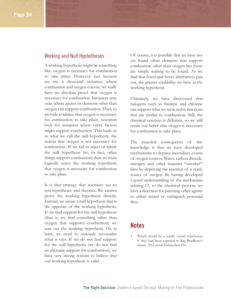### Working and Null Hyphotheses

A working hypothesis might be something like: oxygen is necessary for combustion to take place. However, just because we see a thousand instances where combustion and oxygen coexist, we really have no absolute proof that oxygen is necessary for combustion. Instances may exist where gasses or elements other than oxygen can support combustion. Thus, to provide evidence that oxygen is necessary for combustion to take place, scientists look for instances where other factors might support combustion. This leads us to what we call the null hypothesis: the notion that oxygen is not necessary for combustion. If we fail to reject or falsify the null hypothesis (so, in fact, other things support combustion) then we must logically reject the working hypothesis that oxygen is necessary for combustion to take place.

It is that strategy that scientists use to test hypotheses and theories. We cannot prove the working hypothesis directly. Instead, we create a null hypothesis that is the opposite of the working hypothesis. If we find support for the null hypothesis (that is, we find something other than oxygen that supports combustion) we toss out the working hypothesis. Or, at least, we need to seriously reconsider what is says. If we do not find support for the null hypothesis (we do not find an alternate support for combustion), we have very strong reasons to believe that our working hypothesis is valid.

Of course, it is possible that we have not yet found other elements that support combustion other than oxygen but those are simply waiting to be found. As we find that fewer and fewer alternatives pan out, the greater credibility we have in the working hypothesis.

Ultimately, we have discovered that halogens such as fluorine and chlorine can support what we term redox reactions that are similar to combustion. Still, the chemical reaction is different, so we still retain our belief that oxygen is necessary for combustion to take place.

The practical consequence of this knowledge is that we have developed mechanisms to deprive incendiary events of oxygen sources. Water, carbon dioxide, nitrogen and other materiel "smother" fires by depriving the reaction of a ready source of oxygen. By having developed a good understanding of the mechanism relating  $O_2$  to the chemical process, we have a direction for pursuing other agents to either retard or extinguish potential fires.

# **Notes**

1. Which would be a totally sound conclusion if they had been exposed to Ray Bradbury's classic 1953 novel Fahrenheit 451.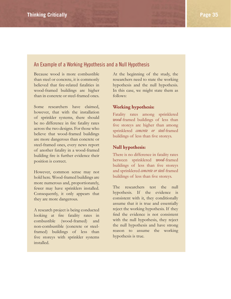# An Example of a Working Hypothesis and a Null Hypothesis

Because wood is more combustible than steel or concrete, it is commonly believed that fire-related fatalities in wood-framed buildings are higher than in concrete or steel-framed ones.

Some researchers have claimed, however, that with the installation of sprinkler systems, there should be no difference in fire fatality rates across the two designs. For those who believe that wood-framed buildings are more dangerous than concrete or steel-framed ones, every news report of another fatality in a wood-framed building fire is further evidence their position is correct.

However, common sense may not hold here. Wood-framed buildings are more numerous and, proportionately, fewer may have sprinklers installed. Consequently, it only appears that they are more dangerous.

A research project is being conducted looking at fire fatality rates in combustible (wood-framed) and non-combustible (concrete or steelframed) buildings of less than five storeys with sprinkler systems installed.

At the beginning of the study, the researchers need to state the working hypothesis and the null hypothesis. In this case, we might state them as follows:

#### **Working hypothesis:**

Fatality rates among sprinklered *wood*-framed buildings of less than five storeys are higher than among sprinklered *concrete or steel-*framed buildings of less than five storeys.

### **Null hypothesis:**

There is no difference in fatality rates between sprinklered *wood*-framed buildings of less than five storeys and sprinklered *concrete or steel*-framed buildings of less than five storeys.

The researchers test the null hypothesis. If the evidence is consistent with it, they conditionally assume that it is true and essentially reject the working hypothesis. If they find the evidence is not consistent with the null hypothesis, they reject the null hypothesis and have strong reason to assume the working hypothesis is true.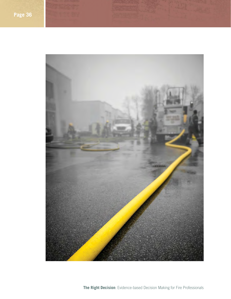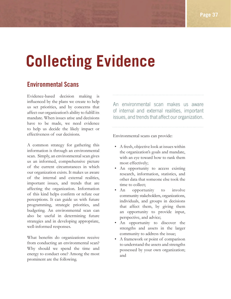# **Collecting Evidence**

# **Environmental Scans**

Evidence-based decision making is influenced by the plans we create to help us set priorities, and by concerns that affect our organization's ability to fulfill its mandate. When issues arise and decisions have to be made, we need evidence to help us decide the likely impact or effectiveness of our decisions.

A common strategy for gathering this information is through an environmental scan. Simply, an environmental scan gives us an informed, comprehensive picture of the current circumstances in which our organization exists. It makes us aware of the internal and external realities, important issues, and trends that are affecting the organization. Information of this kind helps confirm or refute our perceptions. It can guide us with future programming, strategic priorities, and budgeting. An environmental scan can also be useful in determining future strategies and in developing appropriate, well-informed responses.

What benefits do organizations receive from conducting an environmental scan? Why should we spend the time and energy to conduct one? Among the most prominent are the following.

An environmental scan makes us aware of internal and external realities, important issues, and trends that affect our organization.

Environmental scans can provide:

- A fresh, objective look at issues within the organization's goals and mandate, with an eye toward how to rank them most effectively;
- An opportunity to access existing research, information, statistics, and other data that someone else took the time to collect;
- An opportunity to involve community stakeholders, organizations, individuals, and groups in decisions that affect them, by giving them an opportunity to provide input, perspective, and advice;
- An opportunity to discover the strengths and assets in the larger community to address the issue;
- A framework or point of comparison to understand the assets and strengths possessed by your own organization; and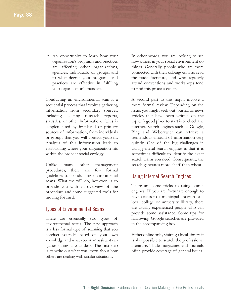• An opportunity to learn how your organization's programs and practices are affecting other organizations, agencies, individuals, or groups, and to what degree your programs and practices are effective in fulfilling your organization's mandate.

Conducting an environmental scan is a sequential process that involves gathering information from secondary sources, including existing research reports, statistics, or other information. This is supplemented by first-hand or primary sources of information, from individuals or groups that you will contact yourself. Analysis of this information leads to establishing where your organization fits within the broader social ecology.

Unlike many other management procedures, there are few formal guidelines for conducting environmental scans. What we will do, however, is to provide you with an overview of the procedure and some suggested tools for moving forward.

## Types of Environmental Scans

There are essentially two types of environmental scans. The first approach is a less formal type of scanning that you conduct yourself, based on your own knowledge and what you or an assistant can gather sitting at your desk. The first step is to write out what you know about how others are dealing with similar situations.

In other words, you are looking to see how others in your social environment do things. Generally, people who are more connected with their colleagues, who read the trade literature, and who regularly attend conventions and workshops tend to find this process easier.

A second part to this might involve a more formal review. Depending on the issue, you might seek out journal or news articles that have been written on the topic. A good place to start is to check the internet. Search engines such as Google, Bing and Webcrawler can retrieve a tremendous amount of information very quickly. One of the big challenges in using general search engines is that it is sometimes difficult to identify the exact search terms you need. Consequently, the search generates more chaff than wheat.

## Using Internet Search Engines

There are some tricks to using search engines. If you are fortunate enough to have access to a municipal librarian or a local college or university library, there are usually experienced people who can provide some assistance. Some tips for narrowing Google searches are provided in the accompanying box.

Either online or by visiting a local library, it is also possible to search the professional literature. Trade magazines and journals often provide coverage of general issues.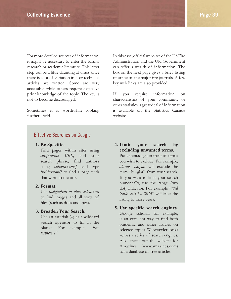For more detailed sources of information, it might be necessary to enter the formal research or academic literature. This latter step can be a little daunting at times since there is a lot of variation in how technical articles are written. Some are very accessible while others require extensive prior knowledge of the topic. The key is not to become discouraged.

Sometimes it is worthwhile looking further afield.

In this case, official websites of the US Fire Administration and the UK Government can offer a wealth of information. The box on the next page gives a brief listing of some of the major fire journals. A few key web links are also provided.

If you require information on characteristics of your community or other statistics, a great deal of information is available on the Statistics Canada website.

## Effective Searches on Google

#### **1. Be Specific.**

Find pages within sites using *site:[website URL]* and your search phrase, find authors using *author:[name]*, and type *intitle:[word]* to find a page with that word in the title.

#### **2. Format.**

Use *filetype:[pdf or other extension]* to find images and all sorts of files (such as docs and jpgs).

#### **3. Broaden Your Search.**

Use an asterisk (\*) as a wildcard search operator to fill in the blanks. For example, "*Fire*  services \*"

### **4. Limit your search by excluding unwanted terms.**

Put a minus sign in front of terms you wish to exclude. For example, *alarms -burglar* will exclude the term "burglar" from your search. If you want to limit your search numerically, use the range (two dot) indicator. For example "*used trucks 2010 .. 2014*" will limit the listing to those years.

#### **5. Use specific search engines.**

Google scholar, for example, is an excellent way to find both academic and other articles on selected topics. Webcrawler looks across a series of search engines. Also check out the website for Amazines (www.amazines.com) for a database of free articles.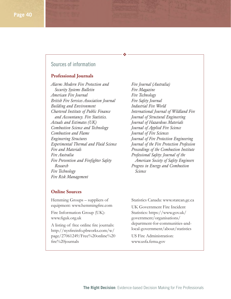## Sources of information

#### **Professional Journals**

*Alarm: Modern Fire Protection and Security Systems Bulletin American Fire Journal British Fire Services Association Journal Building and Environment Chartered Institute of Public Finance and Accountancy. Fire Statistics. Actuals and Estimates (UK) Combustion Science and Technology Combustion and Flame Engineering Structures Experimental Thermal and Fluid Science Fire and Materials Fire Australia Fire Prevention and Firefighter Safety Research Fire Technology Fire Risk Management*

*Fire Journal (Australia) Fire Magazine Fire Technology Fire Safety Journal Industrial Fire World International Journal of Wildland Fire Journal of Structural Engineering Journal of Hazardous Materials Journal of Applied Fire Science Journal of Fire Sciences Journal of Fire Protection Engineering Journal of the Fire Protection Profession Proceedings of the Combustion Institute Professional Safety: Journal of the American Society of Safety Engineers Progress in Energy and Combustion Science*

❖

#### **Online Sources**

Hemming Groups – suppliers of equipment: www.hemmingfire.com

Fire Information Group (UK): www.figuk.org.uk

A listing of free online fire journals: http://nysfireinfo.pbworks.com/w/ page/27061249/Free%20online%20 fire%20journals

Statistics Canada: www.statcan.gc.ca

UK Government Fire Incident Statistics: https://www.gov.uk/ government/organisations/ department-for-communities-andlocal-government/about/statistics

US Fire Administration: www.usfa.fema.gov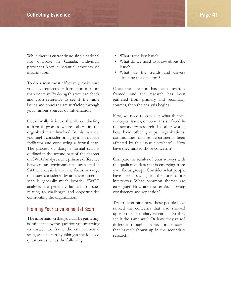While there is currently no single national fire database in Canada, individual provinces keep substantial amounts of information.

To do a scan most effectively, make sure you have collected information in more than one way. By doing this you can check and cross-reference to see if the same issues and concerns are surfacing through your various sources of information.

Occasionally, it is worthwhile conducting a formal process where others in the organization are involved. In this instance, you might consider bringing in an outside facilitator and conducting a formal scan. The process of doing a formal scan is outlined in the second part of the chapter on SWOT analyses. The primary difference between an environmental scan and a SWOT analysis is that the focus or range of issues considered by an environmental scan is generally much broader. SWOT analyses are generally limited to issues relating to challenges and opportunities confronting the organization.

## Framing Your Environmental Scan

The information that you will be gathering is influenced by the question you are trying to answer. To frame the environmental scan, we can start by asking some focused questions, such as the following.

- What is the key issue?
- What do we need to know about the issue?
- What are the trends and drivers affecting these factors?

Once the question has been carefully framed, and the research has been gathered from primary and secondary sources, then the analysis begins.

First, we need to consider what themes, concepts, issues, or concerns surfaced in the secondary research. In other words, how have other groups, organizations, communities or fire departments been affected by this issue elsewhere? How have they ranked those concerns?

Compare the results of your surveys with the qualitative data that is emerging from your focus groups. Consider what people have been saying in the one-to-one interviews. What common themes are emerging? How are the results showing consistency and repetition?

Try to determine how these people have ranked the concerns that also showed up in your secondary research. Do they see it the same way? Or have they raised different thoughts, ideas, or concerns that haven't shown up in the secondary research?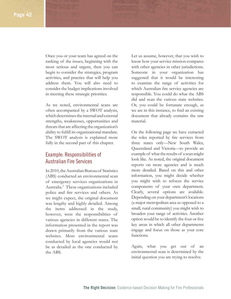Once you or your team has agreed on the ranking of the issues, beginning with the most serious and urgent, then you can begin to consider the strategies, program activities, and practice that will help you address them. You will also need to consider the budget implications involved in meeting these strategic priorities.

As we noted, environmental scans are often accompanied by a SWOT analysis, which determines the internal and external strengths, weaknesses, opportunities and threats that are affecting the organization's ability to fulfill its organizational mandate. The SWOT analysis is explained more fully in the second part of this chapter.

# Example: Responsibilities of Australian Fire Services

In 2010, the Australian Bureau of Statistics (ABS) conducted an environmental scan of emergency services organizations in Australia.<sup>1</sup> These organizations included police and fire services and others. As we might expect, the original document was lengthy and highly detailed. Among the items addressed in the study, however, were the responsibilities of various agencies in different states. The information presented in the report was drawn primarily from the various state websites. Most environmental scans conducted by local agencies would not be as detailed as the one conducted by the ABS.

Let us assume, however, that you wish to know how your service mission compares with other agencies in other jurisdictions. Someone in your organization has suggested that it would be interesting to examine the range of activities for which Australian fire service agencies are responsible. You could do what the ABS did and scan the various state websites. Or, you could be fortunate enough, as we are in this instance, to find an existing document that already contains the raw material.

On the following page we have extracted the roles reported by fire services from three states only—New South Wales, Queensland and Victoria—to provide an example of what the results of a scan might look like. As noted, the original document reports on more agencies and is much more detailed. Based on this and other information, you might decide whether you might wish to refocus the service components of your own department. Clearly, several options are available. Depending on your department's locations (a major metropolitan area as opposed to a small, rural community) you might wish to broaden your range of activities. Another option would be to identify the four or five key areas in which all other departments engage and focus on those as your core functions.

Again, what you get out of an environmental scan is determined by the initial question you are trying to resolve.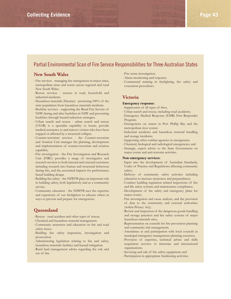## Partial Environmental Scan of Fire Service Responsibilities for Three Australian States

#### **New South Wales**

- Fire services managing fire emergencies in major cities, metropolitan areas and towns across regional and rural New South Wales.
- Rescue services rescues at road, household and industrial incidents.
- Hazardous materials (Hazmat) protecting 100% of the state population from hazardous materials incidents.
- Bushfire services supporting the Rural Fire Service of NSW during and after bushfires in NSW and preventing bushfires through hazard reduction strategies.
- Urban search and rescue urban search and rescue (USAR) is a specialist capability to locate, provide medical assistance to and remove victims who have been trapped or affected by a structural collapse.
- Counter-terrorism services the Counter-terrorism and Aviation Unit manages the planning, development and implementation of counter-terrorism and aviation capability.
- Fire investigation the Fire Investigation and Research Unit (FIRU) provides a range of investigative and research services to both internal and external customers including research into human and structural behaviour during fire, and the associated impacts for performance based building design.
- Building fire safety the NSWFB plays an important role in building safety, both legislatively and as a community service.
- Community education the NSWFB uses the expertise and experience of our firefighters to educate others in ways to prevent and prepare for emergencies.

#### **Queensland**

- Rescue road accident and other types of rescue.
- Chemical and hazardous material management.
- Community awareness and education on fire and road safety issues.
- Building fire safety inspection, investigation and prosecution
- Administering legislation relating to fire and safety, hazardous materials facilities and hazard mitigation.
- Rural land management advice regarding the role and use of fire.
- Fire scene investigation.
- Alarm monitoring and response.
- Commercial training in firefighting, fire safety and evacuation procedures.

#### **Victoria**

#### **Emergency response:**

- Suppression of all types of fires;
- Urban search and rescue, including road accidents;
- Emergency Medical Response (EMR) First Responder Program;
- Emergencies on waters in Port Phillip Bay and the metropolitan river system
- Industrial accidents and hazardous material handling and storage incidents;
- Supporting other combat agencies in emergencies
- Chemical, biological and radiological emergencies; and
- Strategic, expert advice to the State Government on major events and anti-terrorist activities.

#### **Non-emergency services:**

- Input into the development of Australian Standards, Codes of Practice and Regulations affecting community safety;
- Delivery of community safety activities including education to increase awareness and preparedness;
- Conduct building regulation related inspections of fire and life safety systems and maintenance compliance;
- Development of fire safety and emergency plans for major events;
- Fire investigation and cause analysis, and the provision of data to the community and external authorities (within Privacy Act);
- Review and inspection of the dangerous goods handling and storage practices and fire safety systems of major hazardous materials sites;
- Representation on councils for fire prevention planning and community risk management;
- Attendance at and participation with local councils in municipal emergency management planning exercises;
- Provision of expertise, technical advice and skills acquisition services to interstate and international organisations;
- Servicing and sale of fire safety equipment; and
- Participation in appropriate fundraising activities.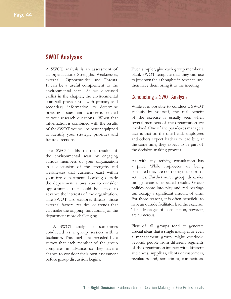# **SWOT Analyses**

A SWOT analysis is an assessment of an organization's Strengths, Weaknesses, external Opportunities, and Threats. It can be a useful complement to the environmental scan. As we discussed earlier in the chapter, the environmental scan will provide you with primary and secondary information to determine pressing issues and concerns related to your research questions. When that information is combined with the results of the SWOT, you will be better equipped to identify your strategic priorities and future directions.

The SWOT adds to the results of the environmental scan by engaging various members of your organization in a discussion of the strengths and weaknesses that currently exist within your fire department. Looking outside the department allows you to consider opportunities that could be seized to advance the interests of the organization. The SWOT also explores threats: those external factors, realities, or trends that can make the ongoing functioning of the department more challenging.

 A SWOT analysis is sometimes conducted as a group session with a facilitator. This might be preceded by a survey that each member of the group completes in advance, so they have a chance to consider their own assessment before group discussion begins.

Even simpler, give each group member a blank SWOT template that they can use to jot down their thoughts in advance, and then have them bring it to the meeting.

## Conducting a SWOT Analysis

While it is possible to conduct a SWOT analysis by yourself, the real benefit of the exercise is usually seen when several members of the organization are involved. One of the paradoxes managers face is that on the one hand, employees and others expect leaders to lead but, at the same time, they expect to be part of the decision-making process.

As with any activity, consultation has a price. While employees are being consulted they are not doing their normal activities. Furthermore, group dynamics can generate unexpected results. Group politics come into play and red herrings can occupy a significant amount of time. For those reasons, it is often beneficial to have an outside facilitator lead the exercise. The advantages of consultation, however, are numerous.

First of all, groups tend to generate crucial ideas that a single manager or even a management group might overlook. Second, people from different segments of the organization interact with different audiences, suppliers, clients or customers, regulators and, sometimes, competitors.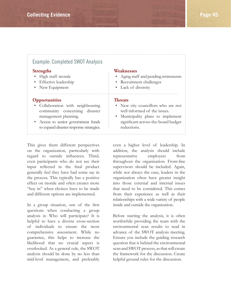# Example: Completed SWOT Analysis

#### **Strengths**

- High staff morale
- Effective leadership
- New Equipment

#### **Opportunities**

- Collaboration with neighbouring community concerning disaster management planning.
- Access to senior government funds to expand disaster response strategies.

This gives them different perspectives on the organization, particularly with regard to outside influences. Third, even participants who do not see their input reflected in the final product generally feel they have had some say in the process. This typically has a positive effect on morale and often creates more "buy in" when choices have to be made and different options are implemented.

In a group situation, one of the first questions when conducting a group analysis is: Who will participate? It is helpful to have a diverse cross-section of individuals to ensure the most comprehensive assessment. While no guarantee, this helps to increase the likelihood that no crucial aspect is overlooked. As a general rule, the SWOT analysis should be done by no less than mid-level management, and preferably

#### **Weaknesses**

- Aging staff and pending retirements
- Recruitment challenges
- Lack of diversity

#### **Th reats**

- New city councillors who are not well informed of the issues.
- Municipality plans to implement significant across-the-board budget reductions.

even a higher level of leadership. In addition, the analysis should include representative employees from throughout the organization. Front-line supervisors should be included. Again, while not always the case, leaders in the organization often have greater insight into those external and internal issues that need to be considered. This comes from their experience as well as their relationships with a wide variety of people inside and outside the organization.

Before starting the analysis, it is often worthwhile providing the team with the environmental scan results to read in advance of the SWOT analysis meeting. Ensure you include the guiding research question that is behind the environmental scan and SWOT process, as that will create the framework for the discussion. Create helpful ground rules for the discussion.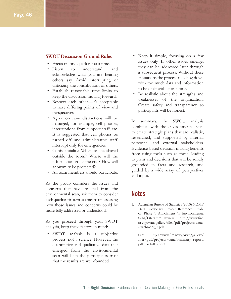#### **SWOT Discussion Ground Rules**

- Focus on one quadrant at a time.
- Listen to understand, and acknowledge what you are hearing others say. Avoid interrupting or criticizing the contributions of others.
- Establish reasonable time limits to keep the discussion moving forward.
- Respect each other—it's acceptable to have differing points of view and perspectives
- Agree on how distractions will be managed, for example, cell phones, interruptions from support staff, etc. It is suggested that cell phones be turned off and administrative staff interrupt only for emergencies.
- Confidentiality: What can be shared outside the room? Where will the information go at the end? How will anonymity be protected?
- All team members should participate.

As the group considers the issues and concerns that have resulted from the environmental scan, ask them to consider each quadrant in turn as a means of assessing how those issues and concerns could be more fully addressed or understood.

As you proceed through your SWOT analysis, keep these factors in mind:

• SWOT analysis is a subjective process, not a science. However, the quantitative and qualitative data that emerged from the environmental scan will help the participants trust that the results are well-founded.

- Keep it simple, focusing on a few issues only. If other issues emerge, they can be addressed later through a subsequent process. Without these limitations the process may bog down with too much data and information to be dealt with at one time.
- Be realistic about the strengths and weaknesses of the organization. Create safety and transparency so participants will be honest.

In summary, the SWOT analysis combines with the environmental scan to create strategic plans that are realistic, researched, and supported by internal personnel and external stakeholders. Evidence-based decision-making benefits from using tools such as these, leading to plans and decisions that will be solidly grounded in facts and research, and guided by a wide array of perspectives and input.

# **Notes**

1. Australian Bureau of Statistics (2010) NDMP Data Dictionary Project Reference Guide of Phase 1 Attachment 1: Environmental Scan/Literature Review. http://www.fire. nsw.gov.au/gallery/files/pdf/projects/data/ attachment\_1.pdf

See: http://www.fire.nsw.gov.au/gallery/ files/pdf/projects/data/summary\_report. pdf for full report.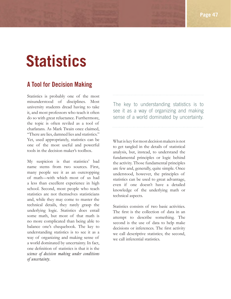# **Statistics**

# **A Tool for Decision Making**

Statistics is probably one of the most misunderstood of disciplines. Most university students dread having to take it, and most professors who teach it often do so with great reluctance. Furthermore, the topic is often reviled as a tool of charlatans. As Mark Twain once claimed, "There are lies, damned lies and statistics." Yet, used appropriately, statistics can be one of the most useful and powerful tools in the decision maker's toolbox.

My suspicion is that statistics' bad name stems from two sources. First, many people see it as an outcropping of math—with which most of us had a less than excellent experience in high school. Second, most people who teach statistics are not themselves statisticians and, while they may come to master the technical details, they rarely grasp the underlying logic. Statistics does entail some math, but most of that math is no more complicated than being able to balance one's chequebook. The key to understanding statistics is to see it as a way of organizing and making sense of a world dominated by uncertainty. In fact, one definition of statistics is that it is the *science of decision making under conditions of uncertainty*.

The key to understanding statistics is to see it as a way of organizing and making sense of a world dominated by uncertainty.

What is key for most decision makers is not to get tangled in the details of statistical analysis, but, instead, to understand the fundamental principles or logic behind the activity. Those fundamental principles are few and, generally, quite simple. Once understood, however, the principles of statistics can be used to great advantage, even if one doesn't have a detailed knowledge of the underlying math or technical aspects.

Statistics consists of two basic activities. The first is the collection of data in an attempt to describe something. The second is the use of data to help make decisions or inferences. The first activity we call descriptive statistics; the second, we call inferential statistics.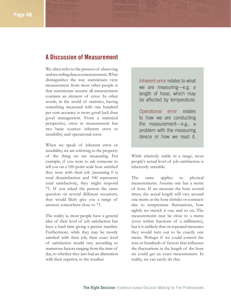# **A Discussion of Measurement**

We often refer to the process of observing and recording data as a measurement. What distinguishes the way statisticians view measurement from most other people is that statisticians assume all measurement contains an element of error. In other words, in the world of statistics, having something measured with one hundred per cent accuracy is more good luck than good management. From a statistical perspective, error in measurement has two basic sources: inherent error or instability, and operational error.

When we speak of inherent error or instability, we are referring to the property of the thing we are measuring. For example, if you were to ask someone to tell you on a 100-point scale how satisfied they were with their job (assuming 0 is total dissatisfaction and 100 represents total satisfaction), they might respond 71. If you asked the person the same question on several different occasions, they would likely give you a range of answers somewhere close to 71.

The reality is, most people have a general idea of their level of job satisfaction but have a hard time giving a precise number. Furthermore, while they may be mostly satisfied with their job, their exact level of satisfaction would vary according to numerous factors ranging from the time of day, to whether they just had an altercation with their superior, to the weather.

Inherent error relates to what we are measuring—e.g. a length of hose, which may be affected by temperature.

Operational error relates to how we are conducting the measurement—e.g., a problem with the measuring device or how we read it.

While relatively stable in a range, most people's actual level of job satisfaction is inherently unstable.

The same applies to physical measurements. Assume one has a metre of hose. If we measure the hose several times, the actual length will vary around one metre as the hose shrinks or contracts due to temperature fluctuations, how tightly we stretch it out, and so on. The measurements may be close to a metre (even within fractions of a millimetre), but it is unlikely that on repeated measures they would turn out to be exactly one metre. Perhaps if we could control the tens or hundreds of factors that influence the fluctuations in the length of the hose we could get an exact measurement. In reality, we can rarely do this.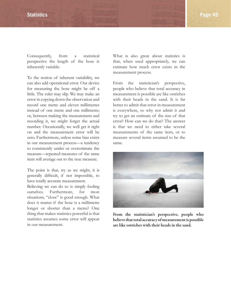Consequently, from a statistical perspective the length of the hose is inherently variable.

To the notion of inherent variability, we can also add operational error. Our device for measuring the hose might be off a little. The ruler may slip. We may make an error in copying down the observation and record one metre and eleven millimetres instead of one metre and one millimetre; or, between making the measurement and recording it, we might forget the actual number. Occasionally, we well get it right on and the measurement error will be zero. Furthermore, unless some bias exists in our measurement process—a tendency to consistently under or overestimate the measure—repeated measures of the same item will average out to the true measure.

The point is that, try as we might, it is generally difficult, if not impossible, to have totally accurate measurement.

Believing we can do so is simply fooling ourselves. Furthermore, for most situations, "close" is good enough. What does it matter if the hose is a millimetre longer or shorter than a metre? One thing that makes statistics powerful is that statistics assumes some error will appear in our measurement.

What is also great about statistics is that, when used appropriately, we can estimate how much error exists in the measurement process.

From the statistician's perspective, people who believe that total accuracy in measurement is possible are like ostriches with their heads in the sand. It is far better to admit that error in measurement is everywhere, so why not admit it and try to get an estimate of the size of that error? How can we do that? The answer is that we need to either take several measurements of the same item, or to measure several items assumed to be the same.



**From the statistician's perspective, people who believe that total accuracy of measurement is possible are like ostriches with their heads in the sand.**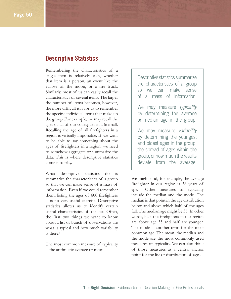# **Descriptive Statistics**

Remembering the characteristics of a single item is relatively easy, whether that item is a person, an event like the eclipse of the moon, or a fire truck. Similarly, most of us can easily recall the characteristics of several items. The larger the number of items becomes, however, the more difficult it is for us to remember the specific individual items that make up the group. For example, we may recall the ages of all of our colleagues in a fire hall. Recalling the age of all firefighters in a region is virtually impossible. If we want to be able to say something about the ages of firefighters in a region, we need to somehow aggregate or summarize the data. This is where descriptive statistics come into play.

What descriptive statistics do is summarize the characteristics of a group so that we can make sense of a mass of information. Even if we could remember them, listing the ages of 600 firefighters is not a very useful exercise. Descriptive statistics allows us to identify certain useful characteristics of the list. Often, the first two things we want to know about a list or bunch of observations are what is typical and how much variability is there?

The most common measure of typicality is the arithmetic average or mean.

Descriptive statistics summarize the characteristics of a group so we can make sense of a mass of information.

We may measure *typicality* by determining the average or median age in the group.

We may measure *variability* by determining the youngest and oldest ages in the group, the spread of ages within the group, or how much the results deviate from the average.

We might find, for example, the average firefighter in our region is 38 years of age. Other measures of typicality include the median and the mode. The median is that point in the age distribution below and above which half of the ages fall. The median age might be 35. In other words, half the firefighters in our region are above age 35 and half are younger. The mode is another term for the most common age. The mean, the median and the mode are the most commonly used measures of typicality. We can also think of those measures as a central anchor point for the list or distribution of ages.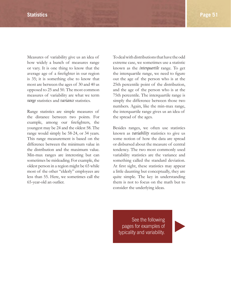Measures of variability give us an idea of how widely a bunch of measures range or vary. It is one thing to know that the average age of a firefighter in our region is 35; it is something else to know that most are between the ages of 30 and 40 as opposed to 25 and 50. The most common measures of variability are what we term *range* statistics and *variance* statistics.

Range statistics are simple measures of the distance between two points. For example, among our firefighters, the youngest may be 24 and the oldest 58. The range would simply be 58-24, or 34 years. This range measurement is based on the difference between the minimum value in the distribution and the maximum value. Min-max ranges are interesting but can sometimes be misleading. For example, the oldest person in a region might be 65 while most of the other "elderly" employees are less than 55. Here, we sometimes call the 65-year-old an outlier.

To deal with distributions that have the odd extreme case, we sometimes use a statistic known as the *interquartile* range. To get the interquartile range, we need to figure out the age of the person who is at the 25th percentile point of the distribution, and the age of the person who is at the 75th percentile. The interquartile range is simply the difference between those two numbers. Again, like the min-max range, the interquartile range gives us an idea of the spread of the ages.

Besides ranges, we often use statistics known as *variability* statistics to give us some notion of how the data are spread or disbursed about the measure of central tendency. The two most commonly used variability statistics are the variance and something called the standard deviation. At first sight, these statistics may appear a little daunting but conceptually, they are quite simple. The key in understanding them is not to focus on the math but to consider the underlying ideas.

See the following pages for examples of typicality and variability.

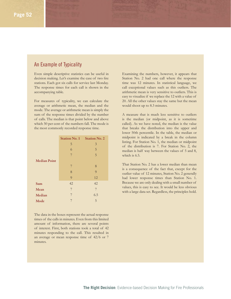## An Example of Typicality

Even simple descriptive statistics can be useful in decision making. Let's examine the case of two fire stations. Each got six calls for service last Monday. The response times for each call is shown in the accompanying table.

For measures of typicality, we can calculate the average or arithmetic mean, the median and the mode. The average or arithmetic mean is simply the sum of the response times divided by the number of calls. The median is that point below and above which 50 per cent of the numbers fall. The mode is the most commonly recorded response time.

|                     |    | Station No. 1 Station No. 2 |
|---------------------|----|-----------------------------|
|                     | 5  | 3                           |
|                     | 6  | 5                           |
|                     | 7  | 5                           |
| <b>Median Point</b> |    |                             |
|                     | 7  | 8                           |
|                     | 8  | 9                           |
|                     | 9  | 12                          |
| Sum                 | 42 | 42                          |
| Mean                | 7  | 7                           |
| Median              | 7  | 6.5                         |
| Mode                | 7  | 5                           |

The data in the boxes represent the actual response times of the calls in minutes. Even from this limited amount of information, there are several points of interest. First, both stations took a total of 42 minutes responding to the call. This resulted in an average or mean response time of 42/6 or 7 minutes.

Examining the numbers, however, it appears that Station No. 2 had one call where the response time was 12 minutes. In statistical language, we call exceptional values such as this outliers. The arithmetic mean is very sensitive to outliers. This is easy to visualize if we replace the 12 with a value of 20. All the other values stay the same but the mean would shoot up to 8.3 minutes.

A measure that is much less sensitive to outliers is the median (or midpoint, as it is sometime called). As we have noted, the median is the value that breaks the distribution into the upper and lower 50th percentile. In the table, the median or midpoint is indicated by a break in the column listing. For Station No. 1, the median or midpoint of the distribution is 7. For Station No. 2, the median is half way between the values of 5 and 8, which is 6.5.

That Station No. 2 has a lower median than mean is a consequence of the fact that, except for the outlier value of 12 minutes, Station No. 2 generally had lower response times than Station No. 1. Because we are only dealing with a small number of values, this is easy to see. It would be less obvious with a large data set. Regardless, the principles hold.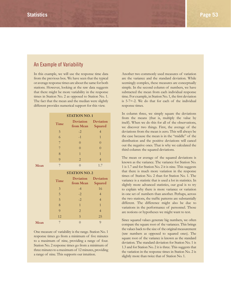## An Example of Variability

In this example, we will use the response time data from the previous box. We have seen that the typical or average response times are about the same for both stations. However, looking at the raw data suggests that there might be more variability in the response times in Station No. 2 as opposed to Station No. 1. The fact that the mean and the median were slightly different provides numerical support for this view.

|      | <b>STATION NO. 1</b> |                               |                             |
|------|----------------------|-------------------------------|-----------------------------|
|      | <b>Time</b>          | <b>Deviation</b><br>from Mean | <b>Deviation</b><br>Squared |
|      | 5                    | $-2$                          | $\overline{4}$              |
|      | 6                    | $-1$                          | $\overline{1}$              |
|      | 7                    | $\overline{0}$                | $\overline{0}$              |
|      | 7                    | $\Omega$                      | $\overline{0}$              |
|      | 8                    | $\mathbf{1}$                  | $\overline{1}$              |
|      | 9                    | $\overline{2}$                | $\overline{4}$              |
| Mean | 7                    | $\overline{0}$                | 1.7                         |
|      |                      |                               |                             |
|      |                      | <b>STATION NO. 2</b>          |                             |
|      | <b>Time</b>          | Deviation<br>from Mean        | <b>Deviation</b><br>Squared |
|      | 3                    | $-4$                          | 16                          |
|      | 5                    | $-2$                          | $\overline{4}$              |
|      | 5                    | $-2$                          | $\overline{4}$              |
|      | 8                    | $\mathbf{1}$                  | $\mathbf{1}$                |

**Mean** 7 0 9

One measure of variability is the range. Station No. 1 response times go from a minimum of five minutes to a maximum of nine, providing a range of four. Station No. 2 response times go from a minimum of three minutes to a maximum of 12 minutes, providing a range of nine. This supports our intuition.

12 5 25

Another two commonly used measures of variation are the variance and the standard deviation. While seemingly complex, these measures are conceptually simple. In the second column of numbers, we have subtracted the mean from each individual response time. For example, in Station No. 1, the first deviation is 5-7=-2. We do that for each of the individual response times.

In column three, we simply square the deviations from the means (that is, multiply the value by itself). When we do this for all of the observations, we discover two things. First, the average of the deviations from the mean is zero. This will always be the case because the mean is in the "middle" of the distribution and the positive deviations will cancel out the negative ones. That is why we calculated the third column: the squared deviations.

The mean or average of the squared deviations is known as the variance. The variance for Station No. 1 is 1.7 and for Station No. 2 it is nine. This suggests that there is much more variation in the response times of Station No. 2 than for Station No. 1. The variance is a statistic that is used a lot in statistics. In slightly more advanced statistics, our goal is to try to explain why there is more variance or variation in one set of numbers than another. Perhaps, across the two stations, the traffic patterns are substantially different. The difference might also be due to variations in the performance of personnel. Those are notions or hypotheses we might want to test.

Since squared values generate big numbers, we often compare the square root of the variances. This brings the values back to the size of the original measurement (raw numbers as opposed to squared ones). The square root of the variance is known as the standard deviation. The standard deviation for Station No. 1 is 1.3 and for Station No. 2 it is three. This suggests that the variation in the response times in Station No. 2 is slightly more than twice that of Station No. 1.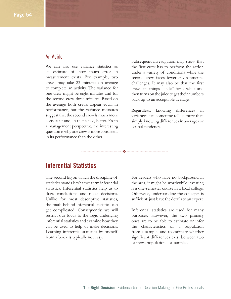## An Aside

We can also use variance statistics as an estimate of how much error in measurement exists. For example, two crews may take 23 minutes on average to complete an activity. The variance for one crew might be eight minutes and for the second crew three minutes. Based on the average both crews appear equal in performance, but the variance measures suggest that the second crew is much more consistent and, in that sense, better. From a management perspective, the interesting question is why one crew is more consistent in its performance than the other.

Subsequent investigation may show that the first crew has to perform the action under a variety of conditions while the second crew faces fewer environmental challenges. It may also be that the first crew lets things "slide" for a while and then turns on the juice to get their numbers back up to an acceptable average.

Regardless, knowing differences in variances can sometime tell us more than simply knowing differences in averages or central tendency.

# **Inferential Statistics**

The second leg on which the discipline of statistics stands is what we term inferential statistics. Inferential statistics help us to draw conclusions and make decisions. Unlike for most descriptive statistics, the math behind inferential statistics can get complicated. Consequently, we will restrict our focus to the logic underlying inferential statistics and examine how they can be used to help us make decisions. Learning inferential statistics by oneself from a book is typically not easy.

For readers who have no background in the area, it might be worthwhile investing is a one-semester course in a local college. Otherwise, understanding the concepts is sufficient; just leave the details to an expert.

Inferential statistics are used for many purposes. However, the two primary ones are to be able to estimate or infer the characteristics of a population from a sample, and to estimate whether significant differences exist between two or more populations or samples.

❖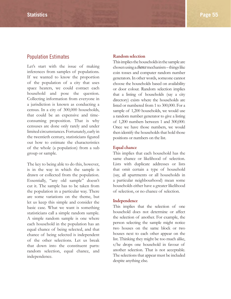## Population Estimates

Let's start with the issue of making inferences from samples of populations. If we wanted to know the proportion of the population of a city that uses space heaters, we could contact each household and pose the question. Collecting information from everyone in a jurisdiction is known as conducting a census. In a city of 300,000 households, that could be an expensive and timeconsuming proposition. That is why censuses are done only rarely and under limited circumstances. Fortunately, early in the twentieth century, statisticians figured out how to estimate the characteristics of the whole (a population) from a sub group or sample.

The key to being able to do this, however, is in the way in which the sample is drawn or collected from the population. Essentially, "any old sample" doesn't cut it. The sample has to be taken from the population in a particular way. There are some variations on the theme, but let us keep this simple and consider the basic case. What we want is something statisticians call a simple random sample. A simple random sample is one where each household in the population has an equal chance of being selected, and that chance of being selected is independent of the other selections. Let us break that down into the constituent parts: random selection, equal chance, and independence.

#### **Random selection**

This implies the households in the sample are chosen using a *chance* mechanism – things like coin tosses and computer random number generators. In other words, someone cannot choose the households based on availability or door colour. Random selection implies that a listing of households (say a city directory) exists where the households are listed or numbered from 1 to 300,000. For a sample of 1,200 households, we would use a random number generator to give a listing of 1,200 numbers between 1 and 300,000. Once we have those numbers, we would then identify the households that hold those positions or numbers on the list.

#### **Equal chance**

This implies that each household has the same chance or likelihood of selection. Lists with duplicate addresses or lists that omit certain a type of household (say, all apartments or all households in a particular neighbourhood) mean some households either have a greater likelihood of selection, or no chance of selection.

#### **Independence**

This implies that the selection of one household does not determine or affect the selection of another. For example, the person selecting the sample might notice two houses on the same block or two houses next to each other appear on the list. Thinking they might be too much alike, s/he drops one household in favour of another selection. That is not acceptable. The selections that appear must be included despite anything else.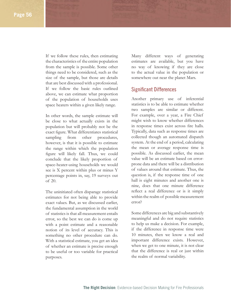If we follow these rules, then estimating the characteristics of the entire population from the sample is possible. Some other things need to be considered, such as the size of the sample, but those are details that are best discussed with a professional. If we follow the basic rules outlined above, we can estimate what proportion of the population of households uses space heaters within a given likely range.

In other words, the sample estimate will be close to what actually exists in the population but will probably not be the exact figure. What differentiates statistical sampling from other procedures, however, is that it is possible to estimate the range within which the population figure will likely fall. Thus, we could conclude that the likely proportion of space-heater-using households we would see is X percent within plus or minus Y percentage points in, say, 19 surveys out of 20.

The uninitiated often disparage statistical estimates for not being able to provide exact values. But, as we discussed earlier, the fundamental assumption in the world of statistics is that all measurement entails error, so the best we can do is come up with a point estimate and a reasonable notion of its level of accuracy. This is something no other procedure can do. With a statistical estimate, you get an idea of whether an estimate is precise enough to be useful or too variable for practical purposes.

Many different ways of generating estimates are available, but you have no way of knowing if they are close to the actual value in the population or somewhere out near the planet Mars.

## Significant Differences

Another primary use of inferential statistics is to be able to estimate whether two samples are similar or different. For example, over a year, a Fire Chief might wish to know whether differences in response times exist across fire halls. Typically, data such as response times are collected though an automated dispatch system. At the end of a period, calculating the mean or average response time is possible. As discussed earlier, the mean value will be an estimate based on errorprone data and there will be a distribution of values around that estimate. Thus, the question is, if the response time of one hall is eight minutes and another one is nine, does that one minute difference reflect a real difference or is it simply within the realm of possible measurement error?

Some differences are big and substantively meaningful and do not require statistics to help us make a decision. For example, if the difference in response time were 10 minutes, then we know a real and important difference exists. However, when we get to one minute, it is not clear that the difference is real or just within the realm of normal variability.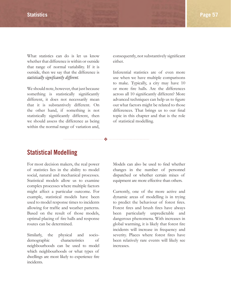What statistics can do is let us know whether that difference is within or outside that range of normal variability. If it is outside, then we say that the difference is *statistically significantly different.*

We should note, however, that just because something is statistically significantly different, it does not necessarily mean that it is substantively different. On the other hand, if something is not statistically significantly different, then we should assess the difference as being within the normal range of variation and,

❖

consequently, not substantively significant either.

Inferential statistics are of even more use when we have multiple comparisons to make. Typically, a city may have 10 or more fire halls. Are the differences across all 10 significantly different? More advanced techniques can help us to figure out what factors might be related to those differences. That brings us to our final topic in this chapter and that is the role of statistical modelling.

# **Statistical Modelling**

For most decision makers, the real power of statistics lies in the ability to model social, natural and mechanical processes. Statistical models allow us to examine complex processes where multiple factors might affect a particular outcome. For example, statistical models have been used to model response times to incidents allowing for traffic and weather patterns. Based on the result of those models, optimal placing of fire halls and response routes can be determined.

Similarly, the physical and sociodemographic characteristics of neighbourhoods can be used to model which neighbourhoods or what types of dwellings are most likely to experience fire incidents.

Models can also be used to find whether changes in the number of personnel dispatched or whether certain mixes of equipment are more effective than others.

Currently, one of the more active and dynamic areas of modelling is in trying to predict the behaviour of forest fires. Forest fires and brush fires have always been particularly unpredictable and dangerous phenomena. With increases in global warming, it is likely that forest fire incidents will increase in frequency and severity. Places where forest fires have been relatively rare events will likely see increases.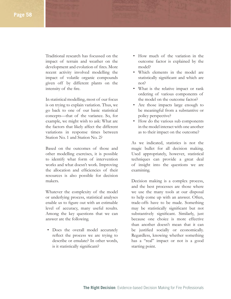Traditional research has focussed on the impact of terrain and weather on the development and evolution of fires. More recent activity involved modelling the impact of volatile organic compounds given off by different plants on the intensity of the fire.

In statistical modelling, most of our focus is on trying to explain variation. Thus, we go back to one of our basic statistical concepts—that of the variance. So, for example, we might wish to ask: What are the factors that likely affect the different variations in response times between Station No. 1 and Station No. 2?

Based on the outcomes of those and other modelling exercises, it is possible to identify what form of intervention works and what doesn't work. Improving the allocation and efficiencies of their resources is also possible for decision makers.

Whatever the complexity of the model or underlying process, statistical analyses enable us to figure out with an estimable level of accuracy, many useful results. Among the key questions that we can answer are the following.

• Does the overall model accurately reflect the process we are trying to describe or emulate? In other words, is it statistically significant?

- How much of the variation in the outcome factor is explained by the model?
- Which elements in the model are statistically significant and which are not?
- What is the relative impact or rank ordering of various components of the model on the outcome factor?
- Are those impacts large enough to be meaningful from a substantive or policy perspective?
- How do the various sub components in the model interact with one another as to their impact on the outcome?

As we indicated, statistics is not the magic bullet for all decision making. Used appropriately, however, statistical techniques can provide a great deal of insight into the questions we are examining.

Decision making is a complex process, and the best processes are those where we use the many tools at our disposal to help come up with an answer. Often, trade-offs have to be made. Something may be statistically significant but not substantively significant. Similarly, just because one choice is more effective than another doesn't mean that it can be justified socially or economically. Regardless, knowing whether something has a "real" impact or not is a good starting point.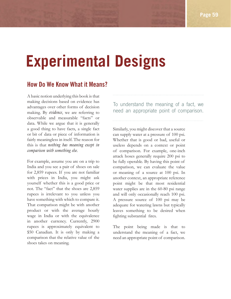# **Experimental Designs**

# **How Do We Know What it Means?**

A basic notion underlying this book is that making decisions based on evidence has advantages over other forms of decision making. By *evidence*, we are referring to observable and measurable "facts" or data. While we argue that it is generally a good thing to have facts, a single fact or bit of data or piece of information is fairly meaningless in itself. The reason for this is that *nothing has meaning except in comparison with something else*.

For example, assume you are on a trip to India and you see a pair of shoes on sale for 2,859 rupees. If you are not familiar with prices in India, you might ask yourself whether this is a good price or not. The "fact" that the shoes are 2,859 rupees is irrelevant to you unless you have something with which to compare it. That comparison might be with another product or with the average hourly wage in India or with the equivalence in another currency. Currently, 2900 rupees is approximately equivalent to \$50 Canadian. It is only by making a comparison that the relative value of the shoes takes on meaning.

To understand the meaning of a fact, we need an appropriate point of comparison.

Similarly, you might discover that a source can supply water at a pressure of 100 psi. Whether that is good or bad, useful or useless depends on a context or point of comparison. For example, one-inch attack hoses generally require 200 psi to be fully operable. By having this point of comparison, we can evaluate the value or meaning of a source at 100 psi. In another context, an appropriate reference point might be that most residential water supplies are in the 60-80 psi range and will only occasionally reach 100 psi. A pressure source of 100 psi may be adequate for watering lawns but typically leaves something to be desired when fighting substantial fires.

The point being made is that to understand the meaning of a fact, we need an appropriate point of comparison.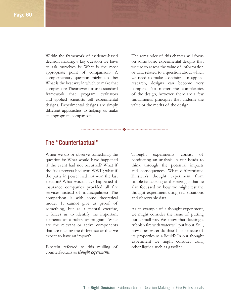Within the framework of evidence-based decision making, a key question we have to ask ourselves is: What is the most appropriate point of comparison? A complementary question might also be: What is the best way in which to make that comparison? The answer is to use a standard framework that program evaluators and applied scientists call experimental designs. Experimental designs are simply different approaches to helping us make an appropriate comparison.

❖

The remainder of this chapter will focus on some basic experimental designs that we use to assess the value of information or data related to a question about which we need to make a decision. In applied research, designs can become very complex. No matter the complexities of the design, however, there are a few fundamental principles that underlie the value or the merits of the design.

# **The "Counterfactual"**

When we do or observe something, the question is: What would have happened if the event had not occurred? What if the Axis powers had won WWII; what if the party in power had not won the last election? What would have happened if insurance companies provided all fire services instead of municipalities? The comparison is with some theoretical model. It cannot give us proof of something, but as a mental exercise, it forces us to identify the important elements of a policy or program. What are the relevant or active components that are making the difference or that we expect to have an impact?

Einstein referred to this mulling of counterfactuals as *thought experiments*.

Thought experiments consist of conducting an analysis in our heads to think through the potential impacts and consequences. What differentiated Einstein's thought experiment from simple fantasizing or theorizing is that he also focussed on how we might test the thought experiment using real situations and observable data.

As an example of a thought experiment, we might consider the issue of putting out a small fire. We know that dousing a rubbish fire with water will put it out. Still, how does water do this? Is it because of its properties as a liquid? In our thought experiment we might consider using other liquids such as gasoline.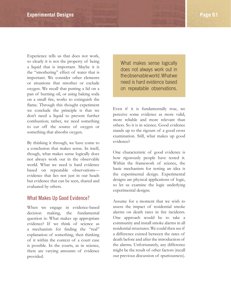Experience tells us that does not work, so clearly it is not the property of being a liquid that is important. Maybe it is the "smothering" effect of water that is important. We consider other elements or situations that smother or exclude oxygen. We recall that putting a lid on a pan of burning oil, or using baking soda on a small fire, works to extinguish the flame. Through this thought experiment we conclude the principle is that we don't need a liquid to prevent further combustion; rather, we need something to cut off the source of oxygen or something that absorbs oxygen.

By thinking it through, we have come to a conclusion that makes sense. In itself, though, what makes sense logically does not always work out in the observable world. What we need is hard evidence based on repeatable observations evidence that lies not just in our heads but evidence that can be seen, shared and evaluated by others.

## What Makes Up Good Evidence?

When we engage in evidence-based decision making, the fundamental question is: What makes up appropriate evidence? If we think of science as a mechanism for finding the "real" explanation of something, then thinking of it within the context of a court case is possible. In the courts, as in science, there are varying amounts of evidence provided.

What makes sense logically does not always work out in the observable world. What we need is hard evidence based on repeatable observations.

Even if it is fundamentally true, we perceive some evidence as more valid, more reliable and more relevant than others. So it is in science. Good evidence stands up to the rigours of a good cross examination. Still, what makes up good evidence?

One characteristic of good evidence is how rigorously people have tested it. Within the framework of science, the basic mechanism for testing an idea is the experimental design. Experimental designs are physical applications of logic, so let us examine the logic underlying experimental designs.

Assume for a moment that we wish to assess the impact of residential smoke alarms on death rates in fire incidents. One approach would be to take a community and install smoke alarms in all residential structures. We could then see if a difference existed between the rates of death before and after the introduction of the alarms. Unfortunately, any difference might be the result of other factors (recall our previous discussion of spuriousness).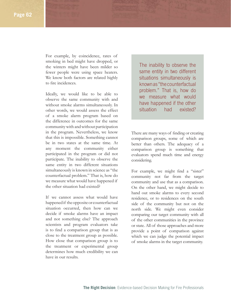For example, by coincidence, rates of smoking in bed might have dropped, or the winters might have been milder so fewer people were using space heaters. We know both factors are related highly to fire incidences.

Ideally, we would like to be able to observe the same community with and without smoke alarms simultaneously. In other words, we would assess the effect of a smoke alarm program based on the difference in outcomes for the same community with and without participation in the program. Nevertheless, we know that this is impossible. Something cannot be in two states at the same time. At any moment the community either participated in the program or did not participate. The inability to observe the same entity in two different situations simultaneously is known in science as "the counterfactual problem." That is, how do we measure what would have happened if the other situation had existed?

If we cannot assess what would have happened if the opposite or counterfactual situation occurred, then how can we decide if smoke alarms have an impact and not something else? The approach scientists and program evaluators take is to find a comparison group that is as close to the treatment group as possible. How close that comparison group is to the treatment or experimental group determines how much credibility we can have in our results.

The inability to observe the same entity in two different situations simultaneously is known as "the counterfactual problem." That is, how do we measure what would have happened if the other situation had existed?

There are many ways of finding or creating comparison groups, some of which are better than others. The adequacy of a comparison group is something that evaluators spend much time and energy considering.

For example, we might find a "sister" community not far from the target community and use that as a comparison. On the other hand, we might decide to hand out smoke alarms to every second residence, or to residences on the south side of the community but not on the north side. We might even consider comparing our target community with all of the other communities in the province or state. All of those approaches and more provide a point of comparison against which we can judge the potential impact of smoke alarms in the target community.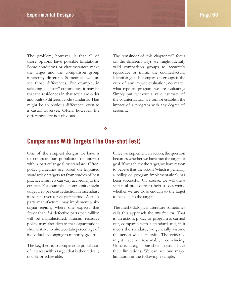The problem, however, is that all of those options have possible limitations. Some conditions or circumstances make the target and the comparison group inherently different. Sometimes we can see those differences. For example, in selecting a "sister" community, it may be that the residences in that town are older and built to different code standards. That might be an obvious difference, even to a casual observer. Often, however, the differences are not obvious.

The remainder of this chapter will focus on the different ways we might identify valid comparison groups to accurately reproduce or mimic the counterfactual. Identifying such comparison groups is the crux of any impact evaluation, no matter what type of program we are evaluating. Simply put, without a valid estimate of the counterfactual, we cannot establish the impact of a program with any degree of certainty.

# **Comparisons With Targets (The One-shot Test)**

❖

One of the simplest designs we have is to compare our population of interest with a particular goal or standard. Often, policy guidelines are based on legislated standards or targets set from studies of best practices. Targets can vary according to the context. For example, a community might target a 25 per cent reduction in incendiary incidents over a five-year period. A truck parts manufacturer may implement a sixsigma regime, where one expects that fewer than 3.4 defective parts per million will be manufactured. Human resource policy may also dictate that organizations should strive to hire a certain percentage of individuals belonging to minority groups.

The key, then, is to compare our population of interest with a target that is theoretically doable or achievable.

Once we implement an action, the question becomes whether we have met the target or goal. If we achieve the target, we have reason to believe that the action (which is generally a policy or program implementation) has been successful. Of course, we will use a statistical procedure to help us determine whether we are close enough to the target to be equal to the target.

The methodological literature sometimes calls this approach the *one-shot test*. That is, an action, policy or program is carried out, compared with a standard and, if it meets the standard, we generally assume the action was successful. The evidence might seem reasonably convincing. Unfortunately, one-shot tests have their limitations. We can see one major limitation in the following example.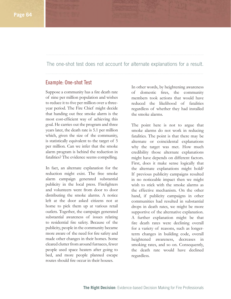The one-shot test does not account for alternate explanations for a result.

## Example: One-shot Test

Suppose a community has a fire death rate of nine per million population and wishes to reduce it to five per million over a threeyear period. The Fire Chief might decide that handing out free smoke alarm is the most cost-efficient way of achieving this goal. He carries out the program and three years later, the death rate is 5.1 per million which, given the size of the community, is statistically equivalent to the target of 5 per million. Can we infer that the smoke alarm program is behind the reduction in fatalities? The evidence seems compelling.

In fact, an alternate explanation for the reduction might exist. The free smoke alarm campaign generated substantial publicity in the local press. Firefighters and volunteers went from door to door distributing the smoke alarms. A notice left at the door asked citizens not at home to pick them up at various retail outlets. Together, the campaign generated substantial awareness of issues relating to residential fire safety. Because of the publicity, people in the community became more aware of the need for fire safety and made other changes in their homes. Some cleared clutter from around furnaces, fewer people used space heaters after going to bed, and more people planned escape routes should fire occur in their houses.

In other words, by heightening awareness of domestic fires, the community members took actions that would have reduced the likelihood of fatalities regardless of whether they had installed the smoke alarms.

The point here is not to argue that smoke alarms do not work in reducing fatalities. The point is that there may be alternate or coincidental explanations why the target was met. How much credibility those alternate explanations might have depends on different factors. First, does it make sense logically that the alternate explanations might hold? If previous publicity campaigns resulted in no noticeable impact then we might wish to stick with the smoke alarms as the effective mechanism. On the other hand, if publicity campaigns in other communities had resulted in substantial drops in death rates, we might be more supportive of the alternative explanation. A further explanation might be that fire death rates were declining overall for a variety of reasons, such as longerterm changes in building code, overall heightened awareness, decreases in smoking rates, and so on. Consequently, the death rate would have declined regardless.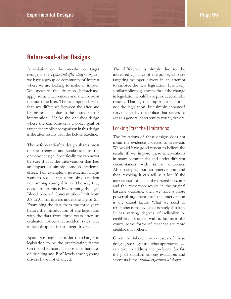# **Before-and-after Designs**

A variation on the one-shot or target design is the *before-and-after design*. Again, we have a group or community of interest where we are looking to make an impact. We measure the situation beforehand, apply some intervention and then look at the outcome later. The assumption here is that any difference between the after and before results is due to the impact of the intervention. Unlike the one-shot design where the comparison is a policy goal or target, the implicit comparison in this design is the after results with the before baseline.

The before-and-after design shares most of the strengths and weaknesses of the one-shot design. Specifically, we can never be sure if it is the intervention that had an impact or simply some coincidental effect. For example, a jurisdiction might want to reduce the automobile accident rate among young drivers. The way they decide to do this is by dropping the legal Blood Alcohol Concentration limit from .08 to .05 for drivers under the age of 25. Examining the data from the three years before the introduction of the legislation with the data from three years after, an evaluator notices that accident rates have indeed dropped for younger drivers.

Again, we might consider the change in legislation to be the precipitating factor. On the other hand, it is possible that rates of drinking and BAC levels among young drivers have not changed.

The difference is simply due to the increased vigilance of the police, who are targeting younger drivers in an attempt to enforce the new legislation. It is likely similar police vigilance without the change in legislation would have produced similar results. That is, the important factor is not the legislation, but simply enhanced surveillance by the police that serves to act as a general deterrent to young drivers.

## Looking Past the Limitations

The limitations of these designs does not mean the evidence collected is irrelevant. We would have good reason to believe the results if we impose these interventions in many communities and under different circumstances with similar outcomes. Also, carrying out an intervention and then revoking it can tell us a lot. If the intervention results in the desired outcome and the revocation results in the original baseline outcome, then we have a more powerful argument that the intervention is the causal factor. What we need to remember is that evidence is rarely absolute. It has varying degrees of reliability or credibility associated with it. Just as in the courts, some forms of evidence are more credible than others.

Given the inherent weaknesses of these designs, we might ask what approaches we can take to address the problem. So far, the gold standard among evaluators and scientists is the *classical experimental design*.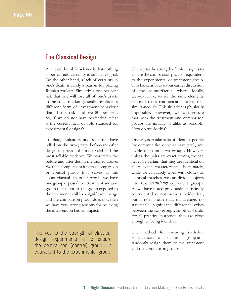# **The Classical Design**

A rule of thumb in science is that nothing is perfect and certainty is an illusive goal. On the other hand, a lack of certainty in one's death is rarely a reason for playing Russian roulette. Similarly, a one per cent risk that one will lose all of one's assets in the stock market generally results in a different form of investment behaviour than if the risk is above 80 per cent. So, if we do not have perfection, what is the current ideal or gold standard for experimental designs?

To date, evaluators and scientists have relied on the two-group, before-and-after design to provide the most valid and the most reliable evidence. We start with the before-and-after design mentioned above. We then complement it with a comparison or control group that serves as the counterfactual. In other words, we have one group exposed to a treatment and one group that is not. If the group exposed to the treatment exhibits a significant change and the comparison group does not, then we have very strong reasons for believing the intervention had an impact.

The key to the strength of classical design experiments is to ensure the comparison (control) group is equivalent to the experimental group.

The key to the strength of this design is to ensure the comparison group is equivalent to the experimental or treatment group. This harkens back to our earlier discussion of the counterfactual where, ideally, we would like to see the same elements exposed to the treatment and not exposed simultaneously. This situation is physically impossible. However, we can ensure that both the treatment and comparison groups are initially as alike as possible. How do we do this?

One way is to take pairs of identical people (or communities or what have you), and divide them into two groups. However, unless the pairs are exact clones, we can never be certain that they are identical on all relevant characteristics. Fortunately, while we can rarely work with clones or identical matches, we can divide subjects into two *statistically* equivalent groups. As we have noted previously, statistically equivalent does not mean truly identical, but it does mean that, on average, no statistically significant difference exists between the two groups. In other words, for all practical purposes, they are close enough to being identical.

The method for ensuring statistical equivalence is to take an initial group and randomly assign them to the treatment and the comparison groups.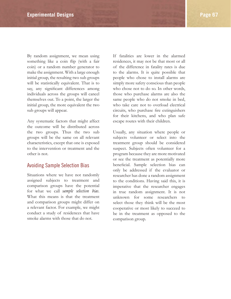By random assignment, we mean using something like a coin flip (with a fair coin) or a random number generator to make the assignment. With a large enough initial group, the resulting two sub groups will be statistically equivalent. That is to say, any significant differences among individuals across the groups will cancel themselves out. To a point, the larger the initial group, the more equivalent the two sub groups will appear.

Any systematic factors that might affect the outcome will be distributed across the two groups. Thus the two sub groups will be the same on all relevant characteristics, except that one is exposed to the intervention or treatment and the other is not.

## Avoiding Sample Selection Bias

Situations where we have not randomly assigned subjects to treatment and comparison groups have the potential for what we call *sample selection bias*. What this means is that the treatment and comparison groups might differ on a relevant factor. For example, we might conduct a study of residences that have smoke alarms with those that do not.

If fatalities are lower in the alarmed residences, it may not be that most or all of the difference in fatality rates is due to the alarms. It is quite possible that people who chose to install alarms are simply more safety conscious than people who chose not to do so. In other words, those who purchase alarms are also the same people who do not smoke in bed, who take care not to overload electrical circuits, who purchase fire extinguishers for their kitchens, and who plan safe escape routes with their children.

Usually, any situation where people or subjects volunteer or select into the treatment group should be considered suspect. Subjects often volunteer for a program because they are more motivated or see the treatment as potentially more beneficial. Sample selection bias can only be addressed if the evaluator or researcher has done a random assignment to the conditions. Having said this, it is imperative that the researcher engages in true random assignment. It is not unknown for some researchers to select those they think will be the most cooperative or most likely to succeed to be in the treatment as opposed to the comparison group.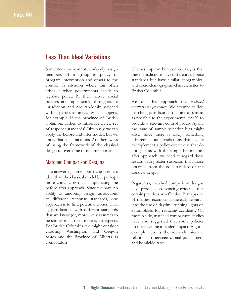# **Less Than Ideal Variations**

Sometimes we cannot randomly assign members of a group to policy or program intervention and others to the control. A situation where this often arises is when governments decide to legislate policy. By their nature, social policies are implemented throughout a jurisdiction and not randomly assigned within particular areas. What happens, for example, if the province of British Columbia wishes to introduce a new set of response standards? Obviously, we can apply the before-and-after model, but we know that has limitations. Are there ways of using the framework of the classical design to overcome those limitations?

## Matched Comparison Designs

The answer is, some approaches are less ideal than the classical model but perhaps more convincing than simply using the before-after approach. Since we have no ability to randomly assign jurisdictions to different response standards, one approach is to find potential clones. That is, jurisdictions with different standards that we know (or, more likely assume) to be similar in all or most relevant aspects. For British Columbia, we might consider choosing Washington and Oregon States and the Province of Alberta as comparators.

The assumption here, of course, is that these jurisdictions have different response standards but have similar geographical and socio-demographic characteristics to British Columbia.

We call this approach the *matched comparisons procedure*. We attempt to find matching jurisdictions that are as similar as possible to the experimental one(s) to provide a relevant control group. Again, the issue of sample selection bias might arise, since there is likely something different about jurisdictions that decide to implement a policy over those that do not. Just as with the simple before-andafter approach, we need to regard these results with greater suspicion than those obtained from the gold standard of the classical design.

Regardless, matched comparison designs have produced convincing evidence that certain practices are effective. Perhaps one of the best examples is the early research into the use of daytime running lights on automobiles for reducing accidents. On the flip side, matched comparison studies have also suggested that some policies do not have the intended impact. A good example here is the research into the relationship between capital punishment and homicide rates.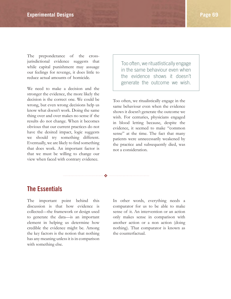The preponderance of the crossjurisdictional evidence suggests that while capital punishment may assuage our feelings for revenge, it does little to reduce actual amounts of homicide.

We need to make a decision and the stronger the evidence, the more likely the decision is the correct one. We could be wrong, but even wrong decisions help us know what doesn't work. Doing the same thing over and over makes no sense if the results do not change. When it becomes obvious that our current practices do not have the desired impact, logic suggests we should try something different. Eventually, we are likely to find something that does work. An important factor is that we must be willing to change our view when faced with contrary evidence.

Too often, we rituatlistically engage in the same behaviour even when the evidence shows it doesn't generate the outcome we wish.

Too often, we ritualistically engage in the same behaviour even when the evidence shows it doesn't generate the outcome we wish. For centuries, physicians engaged in blood letting because, despite the evidence, it seemed to make "common sense" at the time. The fact that many patients were unnecessarily weakened by the practice and subsequently died, was not a consideration.

## **The Essentials**

The important point behind this discussion is that how evidence is collected—the framework or design used to generate the data—is an important element in helping us determine how credible the evidence might be. Among the key factors is the notion that nothing has any meaning unless it is in comparison with something else.

❖

In other words, everything needs a comparator for us to be able to make sense of it. An intervention or an action only makes sense in comparison with another action or a non action (doing nothing). That comparator is known as the counterfactual.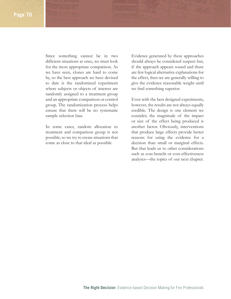Since something cannot be in two different situations at once, we must look for the most appropriate comparison. As we have seen, clones are hard to come by, so the best approach we have devised to date is the randomized experiment where subjects or objects of interest are randomly assigned to a treatment group and an appropriate comparison or control group. The randomization process helps ensure that there will be no systematic sample selection bias.

In some cases, random allocation to treatment and comparison group is not possible, so we try to create situations that come as close to that ideal as possible.

Evidence generated by these approaches should always be considered suspect but, if the approach appears sound and there are few logical alternative explanations for the effect, then we are generally willing to give the evidence reasonable weight until we find something superior.

Even with the best designed experiments, however, the results are not always equally credible. The design is one element we consider; the magnitude of the impact or size of the effect being produced is another factor. Obviously, interventions that produce large effects provide better reasons for using the evidence for a decision than small or marginal effects. But that leads us to other considerations such as cost-benefit or cost-effectiveness analyses—the topics of our next chapter.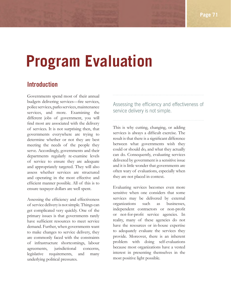# **Program Evaluation**

# **Introduction**

Governments spend most of their annual budgets delivering services—fire services, police services, parks services, maintenance services, and more. Examining the different jobs of government, you will find most are associated with the delivery of services. It is not surprising then, that governments everywhere are trying to determine whether or not they are best meeting the needs of the people they serve. Accordingly, governments and their departments regularly re-examine levels of service to ensure they are adequate and appropriately targeted. They will also assess whether services are structured and operating in the most effective and efficient manner possible. All of this is to ensure taxpayer dollars are well spent.

Assessing the efficiency and effectiveness of service delivery is not simple. Things can get complicated very quickly. One of the primary issues is that governments rarely have sufficient resources to meet service demand. Further, when governments want to make changes to service delivery, they are commonly faced with the constraints of infrastructure shortcomings, labour agreements, jurisdictional concerns, legislative requirements, and many underlying political pressures.

Assessing the efficiency and effectiveness of service delivery is not simple.

This is why cutting, changing, or adding services is always a difficult exercise. The result is that there is a significant difference between what governments wish they could or should do, and what they actually can do. Consequently, evaluating services delivered by government is a sensitive issue and it is little wonder that governments are often wary of evaluations, especially when they are not placed in context.

Evaluating services becomes even more sensitive when one considers that some services may be delivered by external organizations such as businesses, independent contractors or non-profit or not-for-profit service agencies. In reality, many of these agencies do not have the resources or in-house expertise to adequately evaluate the services they provide. Moreover, there is an inherent problem with doing self-evaluations because most organizations have a vested interest in presenting themselves in the most positive light possible.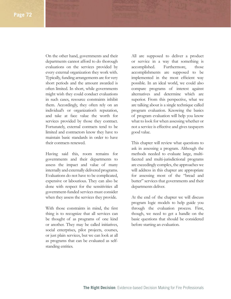On the other hand, governments and their departments cannot afford to do thorough evaluations on the services provided by every external organization they work with. Typically, funding arrangements are for very short periods and the amount awarded is often limited. In short, while governments might wish they could conduct evaluations in such cases, resource constraints inhibit them. Accordingly, they often rely on an individual's or organization's reputation, and take at face value the worth for services provided by those they contract. Fortunately, external contracts tend to be limited and contractors know they have to maintain basic standards in order to have their contracts renewed.

Having said this, room remains for governments and their departments to assess the impact and value of many internally and externally delivered programs. Evaluations do not have to be complicated, expensive or labourious. They can also be done with respect for the sensitivities all government-funded services must consider when they assess the services they provide.

With those constraints in mind, the first thing is to recognize that all services can be thought of as programs of one kind or another. They may be called initiatives, social enterprises, pilot projects, courses, or just plain services, but we can look at all as programs that can be evaluated as selfstanding entities.

All are supposed to deliver a product or service in a way that something is accomplished. Furthermore, those accomplishments are supposed to be implemented in the most efficient way possible. In an ideal world, we could also compare programs of interest against alternatives and determine which are superior. From this perspective, what we are talking about is a single technique called program evaluation. Knowing the basics of program evaluation will help you know what to look for when assessing whether or not a service is effective and gives taxpayers good value.

This chapter will review what questions to ask in assessing a program. Although the methods needed to evaluate large, multifaceted and multi-jurisdictional programs are exceedingly complex, the approaches we will address in this chapter are appropriate for assessing most of the "bread and butter" services that governments and their departments deliver.

At the end of the chapter we will discuss program logic models to help guide you through the evaluation process. First, though, we need to get a handle on the basic questions that should be considered before starting an evaluation.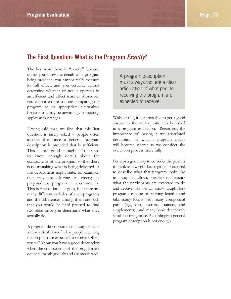# **The First Question: What is the Program** *Exactly***?**

The key word here is "exactly" because unless you know the details of a program being provided, you cannot really measure its full effect, and you certainly cannot determine whether or not it operates in an efficient and effect manner. Moreover, you cannot ensure you are comparing the program to its appropriate alternatives because you may be unwittingly comparing apples with oranges.

Having said that, we find that this first question is rarely asked – people often assume that once a general program description is provided that is sufficient. This is not good enough. You need to know enough details about the components of the program so that there is no mistaking what is being delivered. A fire department might state, for example, that they are offering an emergency preparedness program in a community. This is fine as far as it goes, but there are many different varieties of such programs and the differences among them are such that you would be hard pressed to find two alike once you determine what they actually do.

A program description must always include a clear articulation of what people receiving the program are expected to receive. Often, you will know you have a good description when the components of the program are defined unambiguously and are measurable. A program description must always include a clear articulation of what people receiving the program are expected to receive.

Without this, it is impossible to get a good answer to the next question to be asked in a program evaluation. Regardless, the importance of having a well-articulated description of what a program entails will become clearer as we consider the evaluation process more fully.

Perhaps a good way to consider the point is to think of a weight-loss regimen. You need to describe what that program looks like in a way that allows outsiders to measure what the participants are expected to do and receive. As we all know, weight-loss programs can be of varying lengths and take many forms with many component parts (e.g., diet, exercise, trainers, and supplements), and many look deceptively similar at first glance. Accordingly, a general program description is not enough.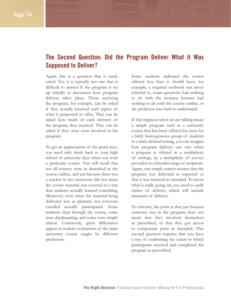# **The Second Question: Did the Program Deliver What it Was Supposed to Deliver?**

Again, this is a question that is rarely asked. Yet, it is typically not one that is difficult to answer if the program is set up initially to document how program delivery takes place. Those receiving the program, for example, can be asked if they actually received each aspect of what it purported to offer. They can be asked how much of each element of the program they received. They can be asked if they were even involved in the program.

To get an appreciation of the point here, you need only think back to your high school or university days when you took a particular course. You will recall that not all courses were as described in the course outline, and just because there was a teacher in the classroom did not mean the course material was covered in a way that students actually learned something. Moreover, even when the material being delivered was as planned, not everyone enrolled actually participated. Some students slept through the course, some were daydreaming, and some were simply absent. Commonly, great differences appear in student evaluations of the same university course taught by different professors.

Some students indicated the course offered less than it should have; for example, a required textbook was never referred to, exam questions had nothing to do with the lectures, lectures had nothing to do with the course outline, or the professor was hard to understand.

If this happens when we are talking about a simple program such as a university course that has been offered for years for a fairly homogeneous group of students in a fairly defined setting, you can imagine how program delivery can vary when a program is offered in a multiplicity of settings, by a multiplicity of service providers to a broader range of recipients. Again, one simply cannot assume that the program was delivered as expected or that it was received as intended. To know what is really going on, you need to audit claims of delivery which will include measures of delivery.

To reiterate, the point is that just because someone was in the program does not mean that they involved themselves as prescribed, or that they got access to component parts as intended. This second question requires that you have a way of confirming the extent to which participants received and completed the program as prescribed.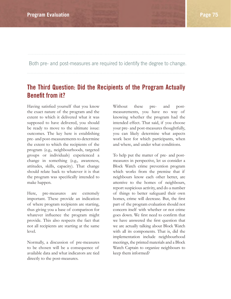Both pre- and post-measures are required to identify the degree to change.

# **The Third Question: Did the Recipients of the Program Actually Benefit from it?**

Having satisfied yourself that you know the exact nature of the program and the extent to which it delivered what it was supposed to have delivered, you should be ready to move to the ultimate issue: outcomes. The key here is establishing pre- and post-measurements to determine the extent to which the recipients of the program (e.g., neighbourhoods, targeted groups or individuals) experienced a change in something (e.g., awareness, attitudes, skills, capacity). That change should relate back to whatever it is that the program was specifically intended to make happen.

Here, pre-measures are extremely important. These provide an indication of where program recipients are starting, thus giving you a base of comparison for whatever influence the program might provide. This also respects the fact that not all recipients are starting at the same level.

Normally, a discussion of pre-measures to be chosen will be a consequence of available data and what indicators are tied directly to the post-measures.

Without these pre- and postmeasurements, you have no way of knowing whether the program had the intended effect. That said, if you choose your pre- and post-measures thoughtfully, you can likely determine what aspects work best for which participants, when and where, and under what conditions.

To help put the matter of pre- and postmeasures in perspective, let us consider a Block Watch crime prevention program which works from the premise that if neighbours know each other better, are attentive to the homes of neighbours, report suspicious activity, and do a number of things to better safeguard their own homes, crime will decrease. But, the first part of the program evaluation should not concern itself with whether or not crime goes down. We first need to confirm that we have answered the first question that we are actually talking about Block Watch with all its components. That is, did the implementation include neighbourhood meetings, the printed materials and a Block Watch Captain to organize neighbours to keep them informed?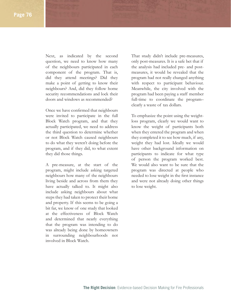Next, as indicated by the second question, we need to know how many of the neighbours participated in each component of the program. That is, did they attend meetings? Did they make a point of getting to know their neighbours? And, did they follow home security recommendations and lock their doors and windows as recommended?

Once we have confirmed that neighbours were invited to participate in the full Block Watch program, and that they actually participated, we need to address the third question to determine whether or not Block Watch caused neighbours to do what they weren't doing before the program, and if they did, to what extent they did those things.

A pre-measure, at the start of the program, might include asking targeted neighbours how many of the neighbours living beside and across from them they have actually talked to. It might also include asking neighbours about what steps they had taken to protect their home and property. If this seems to be going a bit far, we know of one study that looked at the effectiveness of Block Watch and determined that nearly everything that the program was intending to do was already being done by homeowners in surrounding neighbourhoods not involved in Block Watch.

That study didn't include pre-measures, only post-measures. It is a safe bet that if the analysis had included pre- and postmeasures, it would be revealed that the program had not really changed anything with respect to participant behaviour. Meanwhile, the city involved with the program had been paying a staff member full-time to coordinate the program– clearly a waste of tax dollars.

To emphasize the point using the weightloss program, clearly we would want to know the weight of participants both when they entered the program and when they completed it to see how much, if any, weight they had lost. Ideally we would have other background information on participants to indicate for what type of person the program worked best. We would also want to be sure that the program was directed at people who needed to lose weight in the first instance and were not already doing other things to lose weight.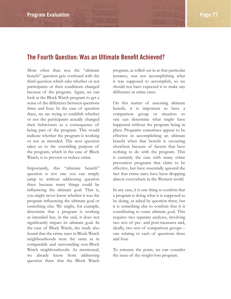# **The Fourth Question: Was an Ultimate Benefit Achieved?**

More often than not, the "ultimate benefit" question gets confused with the third question which asks whether or not participants or their conditions changed because of the program. Again, we can look at the Block Watch program to get a sense of the difference between questions three and four. In the case of question three, we are trying to establish whether or not the participants actually changed their behaviours as a consequence of being part of the program. This would indicate whether the program is working or not as intended. The next question takes us to the overriding purpose of the program, which in the case of Block Watch, is to prevent or reduce crime.

Importantly, this "ultimate benefit" question is not one you can simply jump to without addressing question three because many things could be influencing the ultimate goal. That is, you might never know whether it was the program influencing the ultimate goal or something else. We might, for example, determine that a program is working as intended but, in the end, it does not significantly impact its ultimate goal. In the case of Block Watch, the study also found that the crime rates in Block Watch neighbourhoods were the same as in comparable and surrounding non-Block Watch neighbourhoods. As mentioned, we already know from addressing question three that the Block Watch program, as rolled out in at that particular instance, was not accomplishing what it was supposed to accomplish, so we should not have expected it to make any difference in crime rates.

On this matter of assessing ultimate benefit, it is important to have a comparison group or situation so one can determine what might have happened without the program being in place. Programs sometimes appear to be effective in accomplishing an ultimate benefit when that benefit is occurring elsewhere because of factors that have nothing to do with the program. This is certainly the case with many crime prevention programs that claim to be effective, but have essentially ignored the fact that crime rates have been dropping almost everywhere in the Western world.

In any case, it is one thing to confirm that a program is doing what it is supposed to be doing, as asked by question three, but it is something else to confirm that it is contributing to some ultimate goal. This requires two separate analyses, involving two sets of pre- and post-measures and, ideally, two sets of comparison groups – one relating to each of questions three and four.

To reiterate the point, we can consider the issue of the weight-loss program.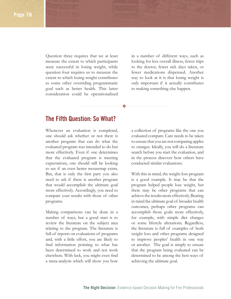Question three requires that we at least measure the extent to which participants were successful in losing weight, while question four requires us to measure the extent to which losing weight contributes to some other overriding programmatic goal such as better health. This latter consideration could be operationalized

in a number of different ways, such as looking for less overall illness, fewer trips to the doctor, fewer sick days taken, or fewer medications dispensed. Another way to look at it is that losing weight is only important if it actually contributes to making something else happen.

## **The Fifth Question: So What?**

❖

Whenever an evaluation is completed, one should ask whether or not there is another program that can do what the evaluated program was intended to do but more effectively. Even if one determines that the evaluated program is meeting expectations, one should still be looking to see if an even better mousetrap exists. But, that is only the first part: you also need to ask if there is another program that would accomplish the ultimate goal more effectively. Accordingly, you need to compare your results with those of other programs.

Making comparisons can be done in a number of ways, but a good start is to review the literature on the subject area relating to the program. The literature is full of reports on evaluations of programs and, with a little effort, you are likely to find information pointing to what has been determined to work and not work elsewhere. With luck, you might even find a meta-analysis which will show you how

a collection of programs like the one you evaluated compare. Care needs to be taken to ensure that you are not comparing apples to oranges. Ideally, you will do a literature search before you start the evaluation, and in the process discover how others have conducted similar evaluations.

With this in mind, the weight-loss program is a good example. It may be that the program helped people lose weight, but there may be other programs that can achieve the results more effectively. Bearing in mind the ultimate goal of broader health outcomes, perhaps other programs can accomplish those goals more effectively, for example, with simple diet changes or some lifestyle alterations. Regardless, the literature is full of examples of both weight loss and other programs designed to improve peoples' health in one way or another. The goal is simply to ensure that the program being evaluated can be determined to be among the best ways of achieving the ultimate goal.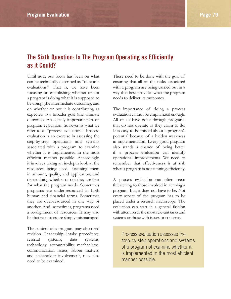# **The Sixth Question: Is The Program Operating as Efficiently as it Could?**

Until now, our focus has been on what can be technically described as "outcome evaluations." That is, we have been focusing on establishing whether or not a program is doing what it is supposed to be doing (the intermediate outcome), and on whether or not it is contributing as expected to a broader goal (the ultimate outcome). An equally important part of program evaluation, however, is what we refer to as "process evaluation." Process evaluation is an exercise in assessing the step-by-step operations and systems associated with a program to examine whether it is implemented in the most efficient manner possible. Accordingly, it involves taking an in-depth look at the resources being used, assessing them in amount, quality, and application, and determining whether or not they are best for what the program needs. Sometimes programs are under-resourced in both human and financial terms. Sometimes they are over-resourced in one way or another. And, sometimes, programs need a re-alignment of resources. It may also be that resources are simply mismanaged.

The content of a program may also need revision. Leadership, intake procedures, referral systems, data systems, technology, accountability mechanisms, communication issues, labour matters, and stakeholder involvement, may also need to be examined.

These need to be done with the goal of ensuring that all of the tasks associated with a program are being carried out in a way that best provides what the program needs to deliver its outcomes.

The importance of doing a process evaluation cannot be emphasized enough. All of us have gone through programs that do not operate as they claim to do. It is easy to be misled about a program's potential because of a hidden weakness in implementation. Every good program also stands a chance of being better if a process evaluation can identify operational improvements. We need to remember that effectiveness is at risk when a program is not running efficiently.

A process evaluation can often seem threatening to those involved in running a program. But, it does not have to be. Not every aspect of the program has to be placed under a research microscope. The evaluation can start in a general fashion with attention to the most relevant tasks and systems or those with issues or concerns.

> Process evaluation assesses the step-by-step operations and systems of a program of examine whether it is implemented in the most efficient manner possible.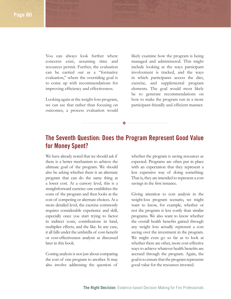You can always look further where concerns exist, assuming time and resources permit. Further, the evaluation can be carried out as a "formative evaluation," where the overriding goal is to come up with recommendations for improving efficiency and effectiveness.

Looking again at the weight-loss program, we can see that rather than focusing on outcomes, a process evaluation would likely examine how the program is being managed and administered. This might include looking at the ways participant involvement is tracked, and the ways in which participants access the diet, exercise, and supplemental program elements. The goal would most likely be to generate recommendations on how to make the program run in a more participant-friendly and efficient manner.

# **The Seventh Question: Does the Program Represent Good Value for Money Spent?**

❖

We have already noted that we should ask if there is a better mechanism to achieve the ultimate goal of the program. We should also be asking whether there is an alternate program that can do the same thing at a lower cost. At a cursory level, this is a straightforward exercise: one establishes the costs of the program and then looks at the cost of competing or alternate choices. At a more detailed level, the exercise commonly requires considerable experience and skill, especially once you start trying to factor in indirect costs, contributions in kind, multiplier effects, and the like. In any case, it all falls under the umbrella of cost-benefit or cost-effectiveness analysis as discussed later in this book.

Costing analysis is not just about comparing the cost of one program to another. It may also involve addressing the question of

whether the program is saving resources as expected. Programs are often put in place with an expectation that they represent a less expensive way of doing something. That is, they are intended to represent a cost savings in the first instance.

Giving attention to cost analysis in the weight-loss program scenario, we might want to know, for example, whether or not the program is less costly than similar programs. We also want to know whether the overall health benefits gained through any weight loss actually represent a cost saving over the investment in the program. We might even go so far as to look at whether there are other, more cost-effective ways to achieve whatever health benefits are accrued through the program. Again, the goal is to ensure that the program represents good value for the resources invested.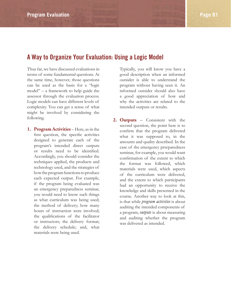# **A Way to Organize Your Evaluation: Using a Logic Model**

Thus far, we have discussed evaluations in terms of some fundamental questions. At the same time, however, those questions can be used as the basis for a "logic model" – a framework to help guide the assessor through the evaluation process. Logic models can have different levels of complexity. You can get a sense of what might be involved by considering the following.

**1. Program Activities** – Here, as in the first question, the specific activities designed to generate each of the program's intended direct outputs or results need to be identified. Accordingly, you should consider the techniques applied, the products and technology used, and the strategies of how the program functions to produce each expected output. For example, if the program being evaluated was an emergency preparedness seminar, you would need to know such things as what curriculum was being used; the method of delivery; how many hours of instruction were involved; the qualifications of the facilitator or instructors; the delivery format; the delivery schedule; and, what materials were being used.

Typically, you will know you have a good description when an informed outsider is able to understand the program without having seen it. An informed outsider should also have a good appreciation of how and why the activities are related to the intended outputs or results.

**2. Outputs** – Consistent with the second question, the point here is to confirm that the program delivered what it was supposed to, in the amounts and quality described. In the case of the emergency prreparedness seminar, for example, you would want confirmation of the extent to which the format was followed, which materials were used, which aspects of the curriculum were delivered, and the extent to which participants had an opportunity to receive the knowledge and skills presented in the course. Another way to look at this, is that while *program activities* is about auditing the intended components of a program, *outputs* is about measuring and auditing whether the program was delivered as intended.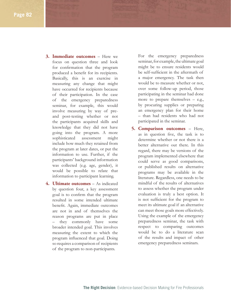- **3. Immediate outcomes**  Here we focus on question three and look for confirmation that the program produced a benefit for its recipients. Basically, this is an exercise in measuring any change that might have occurred for recipients because of their participation. In the case of the emergency preparedness seminar, for example, this would involve measuring by way of preand post-testing whether or not the participants acquired skills and knowledge that they did not have going into the program. A more sophisticated assessment might include how much they retained from the program at later dates, or put the information to use. Further, if the participants' background information was collected (e.g. age, gender), it would be possible to relate that information to participant learning.
- **4. Ultimate outcomes**  As indicated by question four, a key assessment goal is to confirm that the program resulted in some intended ultimate benefit. Again, immediate outcomes are not in and of themselves the reason programs are put in place – they commonly have some broader intended goal. This involves measuring the extent to which the program influenced that goal. Doing so requires a comparison of recipients of the program to non-participants.

For the emergency preparedness seminar, for example, the ultimate goal might be to ensure residents would be self-sufficient in the aftermath of a major emergency. The task then would be to measure whether or not, over some follow-up period, those participating in the seminar had done more to prepare themselves – e.g., by procuring supplies or preparing an emergency plan for their home – than had residents who had not participated in the seminar.

**5. Comparison outcomes** – Here, as in question five, the task is to determine whether or not there is a better alternative out there. In this regard, there may be versions of the program implemented elsewhere that could serve as good comparisons, or published results on alternative programs may be available in the literature. Regardless, one needs to be mindful of the results of alternatives to assess whether the program under evaluation is truly a best option. It is not sufficient for the program to meet its ultimate goal if an alternative can meet those goals more effectively. Using the example of the emergency preparedness seminar, the task with respect to comparing outcomes would be to do a literature scan of the results and impact of other emergency preparedness seminars.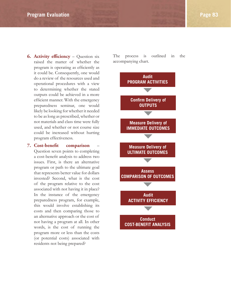- **6. Activity efficiency Question six** raised the matter of whether the program is operating as efficiently as it could be. Consequently, one would do a review of the resources used and operational procedures with a view to determining whether the stated outputs could be achieved in a more efficient manner. With the emergency preparedness seminar, one would likely be looking for whether it needed to be as long as prescribed, whether or not materials and class time were fully used, and whether or not course size could be increased without hurting program effectiveness.
- **7. Cost-benefit comparison** Question seven points to completing a cost-benefit analysis to address two issues. First, is there an alternative program or path to the ultimate goal that represents better value for dollars invested? Second, what is the cost of the program relative to the cost associated with not having it in place? In the instance of the emergency preparedness program, for example, this would involve establishing its costs and then comparing those to an alternative approach or the cost of not having a program at all. In other words, is the cost of running the program more or less than the costs (or potential costs) associated with residents not being prepared?

The process is outlined in the accompanying chart.

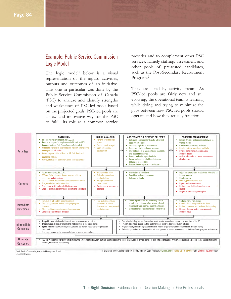## Example: Public Service Commission Logic Model

The logic model<sup>1</sup> below is a visual representation of the inputs, activities, outputs and outcomes of an initiative. This one in particular was done by the Public Service Commission of Canada (PSC) to analyze and identify strengths and weaknesses of PSC-led pools based on the projected goals. PSC-led pools are a new and innovative way for the PSC to fulfill its role as a common service

provider and to complement other PSC services, namely staffing, assessment and other pools of pre-tested candidates, such as the Post-Secondary Recruitment Program.2

They are listed by activity stream. As PSC-led pools are fairly new and still evolving, the operational team is learning while doing and trying to minimize the gaps between how PSC-led pools should operate and how they actually function.



Public Service Commission, Corporate Management Branch

In the Logic Model, colours signify the Preliminary Gaps Analysis: element done, element partially done and element not done now.

Evaluation Division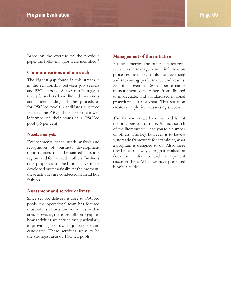Based on the exercise on the previous page, the following gaps were identified: $3$ 

#### **Communications and outreach**

The biggest gap found in this stream is in the relationship between job seekers and PSC-led pools. Survey results suggest that job seekers have limited awareness and understanding of the procedures for PSC-led pools. Candidates surveyed felt that the PSC did not keep them well informed of their status in a PSC-led pool (66 per cent).

#### **Needs analysis**

Environmental scans, needs analysis and recognition of business development opportunities must be started in some regions and formalized in others. Business case proposals for each pool have to be developed systematically. At the moment, these activities are conducted in an ad hoc fashion.

#### **Assessment and service delivery**

Since service delivery is core to PSC-led pools, the operational team has focused most of its efforts and resources in that area. However, there are still some gaps in how activities are carried out, particularly in providing feedback to job seekers and candidates. These activities seem to be the strongest area of PSC-led pools.

#### **Management of the initiative**

Business metrics and other data sources, such as management information processes, are key tools for assessing and measuring performance and results. As of November 2009, performance measurement data range from limited to inadequate, and standardized national procedures do not exist. This situation creates complexity in assessing success.

The framework we have outlined is not the only one you can use. A quick search of the literature will lead you to a number of others. The key, however, is to have a systematic framework for examining what a program is designed to do. Also, there may be reasons why a program evaluation does not refer to each component discussed here. What we have presented is only a guide.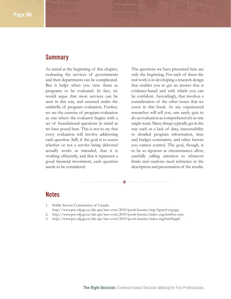## **Summary**

As stated at the beginning of this chapter, evaluating the services of governments and their departments can be complicated. But it helps when you view them as programs to be evaluated. In fact, we would argue that most services can be seen in this way, and assessed under the umbrella of program evaluation. Further, we see the exercise of program evaluation as one where the evaluator begins with a set of foundational questions in mind as we have posed here. This is not to say that every evaluation will involve addressing each question. Still, if the goal is to assess whether or not a service being delivered actually works as intended, that it is working efficiently, and that it represent a good financial investment, each question needs to be considered.

The questions we have presented here are only the beginning. For each of them the real work is in developing a research design that enables you to get an answer that is evidence-based and with which you can be confident. Accordingly, that involves a consideration of the other issues that we cover in this book. As any experienced researcher will tell you, one rarely gets to do an evaluation as comprehensively as one might want. Many things typically get in the way such as a lack of data, inaccessibility to detailed program information, time and budget constraints, and other factors you cannot control. The goal, though, is to be as rigorous as circumstances allow, carefully calling attention to whatever limits and cautions need reference in the description and presentation of the results.

# **Notes**

- 1. Public Service Commission of Canada
- http://www.psc-cfp.gc.ca/abt-aps/inev-evin/2010/pools-bassins/img/figure4-eng.jpg
- 2. http://www.psc-cfp.gc.ca/abt-aps/inev-evin/2010/pools-bassins/index-eng.htm#ex-sum

❖

3. http://www.psc-cfp.gc.ca/abt-aps/inev-evin/2010/pools-bassins/index-eng.htm#appC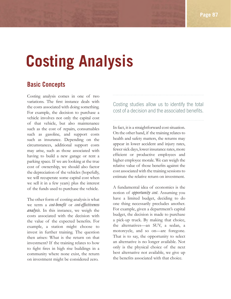# **Costing Analysis**

## **Basic Concepts**

Costing analysis comes in one of two variations. The first instance deals with the costs associated with doing something. For example, the decision to purchase a vehicle involves not only the capital cost of that vehicle, but also maintenance such as the cost of repairs, consumables such as gasoline, and support costs such as insurance. Depending on the circumstances, additional support costs may arise, such as those associated with having to build a new garage or rent a parking space. If we are looking at the true cost of ownership, we should also factor the depreciation of the vehicles (hopefully, we will recuperate some capital cost when we sell it in a few years) plus the interest of the funds used to purchase the vehicle.

The other form of costing analysis is what we term a *cost-benefit* or *cost-effectiveness analysis*. In this instance, we weigh the costs associated with the decision with the value of the expected benefits. For example, a station might choose to invest in further training. The question then arises: What is the return on that investment? If the training relates to how to fight fires in high rise buildings in a community where none exist, the return on investment might be considered zero.

Costing studies allow us to identify the total cost of a decision and the associated benefits.

In fact, it is a straightforward cost situation. On the other hand, if the training relates to health and safety matters, the returns may appear in lower accident and injury rates, fewer sick days, lower insurance rates, more efficient or productive employees and higher employee morale. We can weigh the relative value of those benefits against the cost associated with the training sessions to estimate the relative return on investment.

A fundamental idea of economics is the notion of *opportunity cost*. Assuming you have a limited budget, deciding to do one thing necessarily precludes another. For example, given a department's capital budget, the decision is made to purchase a pick-up truck. By making that choice, the alternatives—an SUV, a sedan, a motorcycle, and so on—are foregone. That is to say, the opportunity to select an alternative is no longer available. Not only is the physical choice of the next best alternative not available, we give up the benefits associated with that choice.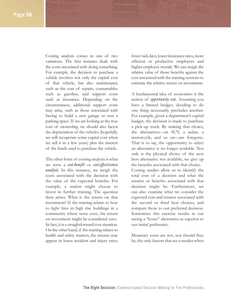Costing analysis comes in one of two variations. The first instance deals with the costs associated with doing something. For example, the decision to purchase a vehicle involves not only the capital cost of that vehicle, but also maintenance such as the cost of repairs, consumables such as gasoline, and support costs such as insurance. Depending on the circumstances, additional support costs may arise, such as those associated with having to build a new garage or rent a parking space. If we are looking at the true cost of ownership, we should also factor the depreciation of the vehicles (hopefully, we will recuperate some capital cost when we sell it in a few years) plus the interest of the funds used to purchase the vehicle.

The other form of costing analysis is what we term a *cost-benefit* or *cost-effectiveness analysis*. In this instance, we weigh the costs associated with the decision with the value of the expected benefits. For example, a station might choose to invest in further training. The question then arises: What is the return on that investment? If the training relates to how to fight fires in high rise buildings in a community where none exist, the return on investment might be considered zero. In fact, it is a straightforward cost situation. On the other hand, if the training relates to health and safety matters, the returns may appear in lower accident and injury rates,

fewer sick days, lower insurance rates, more efficient or productive employees and higher employee morale. We can weigh the relative value of those benefits against the cost associated with the training sessions to estimate the relative return on investment.

A fundamental idea of economics is the notion of *opportunity cost*. Assuming you have a limited budget, deciding to do one thing necessarily precludes another. For example, given a department's capital budget, the decision is made to purchase a pick-up truck. By making that choice, the alternatives—an SUV, a sedan, a motorcycle, and so on—are foregone. That is to say, the opportunity to select an alternative is no longer available. Not only is the physical choice of the next best alternative not available, we give up the benefits associated with that choice. Costing studies allow us to identify the total cost of a decision and what the returns or benefits associated with that decision might be. Furthermore, we can also examine what we consider the expected cost and returns associated with the second or third best choices, and compare those to our preferred decision. Sometimes this exercise results in our seeing a "lesser" alternative as superior to our initial preference.

Monetary costs are not, nor should they be, the only factors that we consider when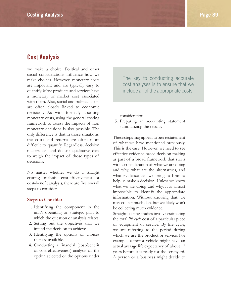## **Cost Analysis**

we make a choice. Political and other social considerations influence how we make choices. However, monetary costs are important and are typically easy to quantify. Most products and services have a monetary or market cost associated with them. Also, social and political costs are often closely linked to economic decisions. As with formally assessing monetary costs, using the general costing framework to assess the impacts of non monetary decisions is also possible. The only difference is that in those situations, the costs and returns are often more difficult to quantify. Regardless, decision makers can and do use qualitative data to weigh the impact of those types of decisions.

No matter whether we do a straight costing analysis, cost-effectiveness or cost-benefit analysis, there are five overall steps to consider.

#### **Steps to Consider**

- 1. Identifying the component in the unit's operating or strategic plan to which the question or analysis relates.
- 2. Setting out the objectives that we intend the decision to achieve.
- 3. Identifying the options or choices that are available.
- 4. Conducting a financial (cost-benefit) or cost-effectiveness) analysis of the option selected or the options under

The key to conducting accurate cost analyses is to ensure that we include all of the appropriate costs.

consideration.

5. Preparing an accounting statement summarizing the results.

These steps may appear to be a restatement of what we have mentioned previously. This is the case. However, we need to see effective evidence-based decision making as part of a broad framework that starts with a consideration of what we are doing and why, what are the alternatives, and what evidence can we bring to bear to help us make a decision. Unless we know what we are doing and why, it is almost impossible to identify the appropriate information. Without knowing that, we may collect much data but we likely won't be collecting much evidence.

Straight costing studies involve estimating the total *life cycle* cost of a particular piece of equipment or service. By life cycle, we are referring to the period during which we use the product or service. For example, a motor vehicle might have an actual average life expectancy of about 12 years before it is ready for the scrapyard. A person or a business might decide to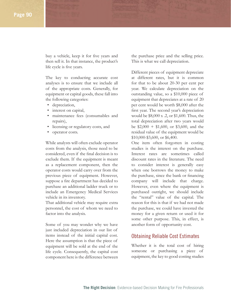buy a vehicle, keep it for five years and then sell it. In that instance, the product's life cycle is five years.

The key to conducting accurate cost analyses is to ensure that we include all of the appropriate costs. Generally, for equipment or capital goods, these fall into the following categories:

- depreciation,
- interest on capital,
- maintenance fees (consumables and repairs),
- licensing or regulatory costs, and
- operator costs.

While analysts will often exclude operator costs from the analysis, those need to be considered, even if the final decision is to exclude them. If the equipment is meant as a replacement component, then the operator costs would carry over from the previous piece of equipment. However, suppose a fire department has decided to purchase an additional ladder truck or to include an Emergency Medical Services vehicle in its inventory.

That additional vehicle may require extra personnel, the cost of whom we need to factor into the analysis.

Some of you may wonder why we have just included depreciation in our list of items instead of the initial capital cost. Here the assumption is that the piece of equipment will be sold at the end of the life cycle. Consequently, the capital cost component here is the difference between the purchase price and the selling price. This is what we call depreciation.

Different pieces of equipment depreciate at different rates, but it is common for that to be about 20-30 per cent per year. We calculate depreciation on the outstanding value, so a \$10,000 piece of equipment that depreciates at a rate of 20 per cent would be worth \$8,000 after the first year. The second year's depreciation would be \$8,000 x .2, or \$1,600. Thus, the total depreciation after two years would be \$2,000 + \$1,600, or \$3,600, and the residual value of the equipment would be \$10,000-\$3,600, or \$6,400.

One item often forgotten in costing studies is the interest on the purchase. Interest rates are sometimes called discount rates in the literature. The need to consider interest is generally easy when one borrows the money to make the purchase, since the bank or financing company will include that charge. However, even where the equipment is purchased outright, we should include the "rental" value of the capital. The reason for this is that if we had not made the purchase, we could have invested the money for a given return or used it for some other purpose. This, in effect, is another form of opportunity cost.

## Obtaining Reliable Cost Estimates

Whether it is the total cost of hiring someone or purchasing a piece of equipment, the key to good costing studies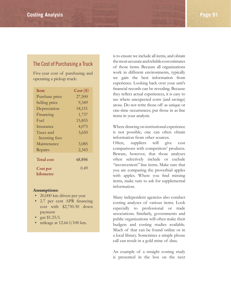## The Cost of Purchasing a Truck

Five-year cost of purchasing and operating a pickup truck:

| Item              | Cost(S) |  |  |  |
|-------------------|---------|--|--|--|
| Purchase price    | 27,500  |  |  |  |
| Selling price     | 9,349   |  |  |  |
| Depreciation      | 18,151  |  |  |  |
| Financing         | 1,737   |  |  |  |
| Fuel              | 15,855  |  |  |  |
| Insurance         | 4,075   |  |  |  |
| Taxes and         | 3,650   |  |  |  |
| licensing fees    |         |  |  |  |
| Maintenance       | 3,085   |  |  |  |
| Repairs           | 2,343   |  |  |  |
| <b>Total cost</b> | 48,896  |  |  |  |
| Cost per          | 0.49    |  |  |  |
| kilometre         |         |  |  |  |

#### **Assumptions:**

- 20,000 km driven per year
- 2.7 per cent APR financing cost with \$2,750.30 down payment
- gas  $$1.25/l$ .
- mileage at 12.66 l/100 km.

is to ensure we include all items, and obtain the most accurate and reliable cost estimates of those items. Because all organizations work in different environments, typically we gain the best information from experience. Looking back over your unit's financial records can be revealing. Because they reflect actual experiences, it is easy to see where unexpected costs (and savings) arose. Do not write those off as unique or one-time occurrences; put those in as line items in your analysis.

Where drawing on institutional experience is not possible, one can often obtain information from other sources.

Often, suppliers will give cost comparisons with competitors' products. Beware, however, that those analyses often selectively include or exclude "inconvenient" line items. Make sure that you are comparing the proverbial apples with apples. Where you find missing items, make sure to ask for supplemental information.

Many independent agencies also conduct costing analyses of various items. Look especially to professional or trade associations. Similarly, governments and public organizations will often make their budgets and costing studies available. Much of that can be found online or in a local library. Sometimes a simple phone call can result in a gold mine of data.

An example of a straight costing study is presented in the box on the next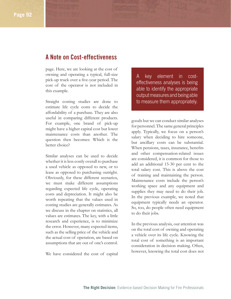## **A Note on Cost-effectiveness**

page. Here, we are looking at the cost of owning and operating a typical, full-size pick-up truck over a five-year period. The cost of the operator is not included in this example.

Straight costing studies are done to estimate life cycle costs to decide the affordability of a purchase. They are also useful in comparing different products. For example, one brand of pick-up might have a higher capital cost but lower maintenance costs than another. The question then becomes: Which is the better choice?

Similar analyses can be used to decide whether it is less costly overall to purchase a used vehicle as opposed to new, or to lease as opposed to purchasing outright. Obviously, for these different scenarios, we must make different assumptions regarding expected life cycle, operating costs and depreciation. It might also be worth repeating that the values used in costing studies are generally estimates. As we discuss in the chapter on statistics, all values are estimates. The key, with a little research and experience, is to minimize the error. However, many expected items, such as the selling price of the vehicle and the actual cost of operation, are based on assumptions that are out of one's control.

We have considered the cost of capital

A key element in costeffectiveness analyses is being able to identify the appropriate output measures and being able to measure them appropriately.

goods but we can conduct similar analyses for personnel. The same general principles apply. Typically, we focus on a person's salary when deciding to hire someone, but ancillary costs can be substantial. When pensions, taxes, insurance, benefits and other compensation-related issues are considered, it is common for those to add an additional 15-30 per cent to the total salary cost. This is above the cost of training and maintaining the person. Maintenance costs include the person's working space and any equipment and supplies they may need to do their job. In the previous example, we noted that equipment typically needs an operator. So, too, do people often need equipment to do their jobs.

In the previous analysis, our attention was on the total cost of owning and operating a vehicle over its life cycle. Knowing the total cost of something is an important consideration in decision making. Often, however, knowing the total cost does not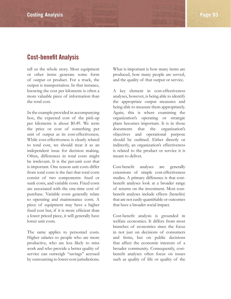# **Cost-benefit Analysis**

tell us the whole story. Most equipment or other items generate some form of output or product. For a truck, the output is transportation. In that instance, knowing the cost per kilometre is often a more valuable piece of information than the total cost.

In the example provided in accompanying box, the expected cost of the pick-up per kilometre is about \$0.49. We term the price or cost of something per unit of output as its cost-effectiveness. While cost-effectiveness is clearly related to total cost, we should treat it as an independent issue for decision making. Often, differences in total costs might be irrelevant. It is the per-unit cost that is important. One reason unit costs differ from total costs is the fact that total costs consist of two components: fixed or sunk costs, and variable costs. Fixed costs are associated with the one-time cost of purchase. Variable costs generally relate to operating and maintenance costs. A piece of equipment may have a higher fixed cost but, if it is more efficient than a lower priced piece, it will generally have lower unit costs.

The same applies to personnel costs. Higher salaries to people who are more productive, who are less likely to miss work and who provide a better quality of service can outweigh "savings" accrued by outsourcing to lower-cost jurisdictions.

What is important is how many items are produced, how many people are served, and the quality of that output or service.

A key element in cost-effectiveness analyses, however, is being able to identify the appropriate output measures and being able to measure them appropriately. Again, this is where examining the organization's operating or strategic plans becomes important. It is in those documents that the organization's objectives and operational purpose should be outlined. Either directly or indirectly, an organization's effectiveness is related to the product or service it is meant to deliver.

Cost-benefit analyses are generally extensions of simple cost-effectiveness studies. A primary difference is that costbenefit analyses look at a broader range of returns on the investment. Most costbenefit analyses include effects (benefits) that are not easily quantifiable or outcomes that have a broader social impact.

Cost-benefit analysis is grounded in welfare economics. It differs from most branches of economics since the focus in not just on decisions of consumers and firms, but on public decisions that affect the economic interests of a broader community. Consequently, costbenefit analyses often focus on issues such as quality of life or quality of the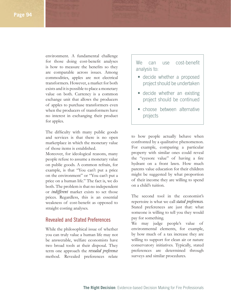environment. A fundamental challenge for those doing cost-benefit analyses is how to measure the benefits so they are comparable across issues. Among commodities, apples are not electrical transformers. However, a market for both exists and it is possible to place a monetary value on both. Currency is a common exchange unit that allows the producers of apples to purchase transformers even when the producers of transformers have no interest in exchanging their product for apples.

The difficulty with many public goods and services is that there is no open marketplace in which the monetary value of those items is established.

Moreover, for ideological reasons, many people refuse to assume a monetary value on public goods. A common refrain, for example, is that "You can't put a price on the environment" or "You can't put a price on a human life." The fact is, we do both. The problem is that no independent or *indifferent* market exists to set those prices. Regardless, this is an essential weakness of cost-benefit as opposed to straight costing analyses.

### Revealed and Stated Preferences

While the philosophical issue of whether you can truly value a human life may not be answerable, welfare economists have two broad tools at their disposal. They term one approach the *revealed preference* method. Revealed preferences relate

We can use cost-benefit analysis to:

- decide whether a proposed project should be undertaken
- decide whether an existing project should be continued
- choose between alternative projects

to how people actually behave when confronted by a qualitative phenomenon. For example, comparing a particular property with similar ones could reveal the "eyesore value" of having a fire hydrant on a front lawn. How much parents value education for their children might be suggested by what proportion of their income they are willing to spend on a child's tuition.

The second tool in the economist's repertoire is what we call *stated preferences.* Stated preferences are just that: what someone is willing to tell you they would pay for something.

We may judge people's value of environmental elements, for example, by how much of a tax increase they are willing to support for clean air or nature conservatory initiatives. Typically, stated preferences are determined through surveys and similar procedures.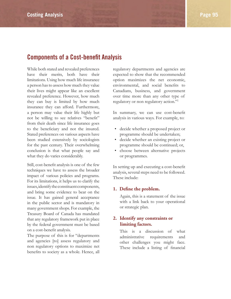# **Components of a Cost-benefit Analysis**

While both stated and revealed preferences have their merits, both have their limitations. Using how much life insurance a person has to assess how much they value their lives might appear like an excellent revealed preference. However, how much they can buy is limited by how much insurance they can afford. Furthermore, a person may value their life highly but not be willing to see relatives "benefit" from their death since life insurance goes to the beneficiary and not the insured. Stated preferences on various aspects have been studied extensively by sociologists for the past century. Their overwhelming conclusion is that what people say and what they do varies considerably.

Still, cost-benefit analysis is one of the few techniques we have to assess the broader impact of various policies and programs. For its limitations, it helps us to clarify the issues, identify the constituent components, and bring some evidence to bear on the issue. It has gained general acceptance in the public sector and is mandatory in many government shops. For example, the Treasury Board of Canada has mandated that any regulatory framework put in place by the federal government must be based on a cost-benefit analysis.

The purpose of this is for "departments and agencies [to] assess regulatory and non regulatory options to maximize net benefits to society as a whole. Hence, all regulatory departments and agencies are expected to show that the recommended option maximizes the net economic, environmental, and social benefits to Canadians, business, and government over time more than any other type of regulatory or non regulatory action."<sup>1</sup>

In summary, we can use cost-benefit analysis in various ways. For example, to:

- decide whether a proposed project or programme should be undertaken;
- decide whether an existing project or programme should be continued; or,
- choose between alternative projects or programmes.

In setting up and executing a cost-benefit analysis, several steps need to be followed. These include:

#### 1. Define the problem.

Again, this is a statement of the issue with a link back to your operational or strategic plan.

### **2. Identify any constraints or limiting factors.**

This is a discussion of what administrative requirements and other challenges you might face. These include a listing of financial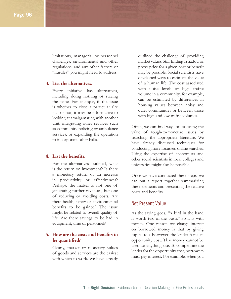limitations, managerial or personnel challenges, environmental and other regulations, and any other factors or "hurdles" you might need to address.

#### **3. List the alternatives.**

Every initiative has alternatives, including doing nothing or staying the same. For example, if the issue is whether to close a particular fire hall or not, it may be informative to looking at amalgamating with another unit, integrating other services such as community policing or ambulance services, or expanding the operation to incorporate other halls.

#### 4. List the benefits.

For the alternatives outlined, what is the return on investment? Is there a monetary return or an increase in productivity or effectiveness? Perhaps, the matter is not one of generating further revenues, but one of reducing or avoiding costs. Are there health, safety or environmental benefits to be gained? The issue might be related to overall quality of life. Are there savings to be had in equipment, time or personnel?

#### **5.** How are the costs and benefits to **be quantified?**

Clearly, market or monetary values of goods and services are the easiest with which to work. We have already

outlined the challenge of providing market values. Still, finding a shadow or proxy price for a given cost or benefit may be possible. Social scientists have developed ways to estimate the value of a human life. The cost associated with noise levels or high traffic volume in a community, for example, can be estimated by differences in housing values between noisy and quiet communities or between those with high and low traffic volumes.

Often, we can find ways of assessing the value of tough-to-monetize issues by searching the appropriate literature. We have already discussed techniques for conducting more focussed online searches. Using the expertise of economists and other social scientists in local colleges and universities might also be possible.

Once we have conducted these steps, we can put a report together summarizing these elements and presenting the relative costs and benefits.

### Net Present Value

As the saying goes, "A bird in the hand is worth two in the bush." So it is with money. One reason we charge interest on borrowed money is that by giving capital to a borrower, the lender faces an opportunity cost. That money cannot be used for anything else. To compensate the lender for the opportunity cost, borrowers must pay interest. For example, when you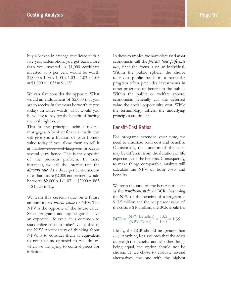buy a locked-in savings certificate with a five-year redemption, you get back more than you invested. A  $$1,000$  certificate invested at 3 per cent would be worth \$1,000 x 1.03 x 1.03 x 1.03 x 1.03 x 1.03  $=$  \$1,000 x 1.03<sup>5</sup>  $=$  \$1,159.

We can also consider the opposite. What would an endowment of \$2,000 that you are to receive in five years be worth to you today? In other words, what would you be willing to pay for the benefit of having the cash right now?

This is the principle behind reverse mortgages. A bank or financial institution will give you a fraction of your home's value today if you allow them to sell it at market value and keep the proceeds several years hence. This is the opposite of the previous problem. In these instances, we call the interest rate the *discount rate*. At a three per cent discount rate, that future \$2,000 endowment would be worth  $2,000 \times 1/1.03^5 = 2000 \times 0.863$  $= $1,725 \text{ today.}$ 

We term this current value on a future amount its *net present value* or NPV. The NPV is the opposite of the future value. Since programs and capital goods have an expected life cycle, it is common to standardize costs to today's value, that is, the NPV. Another way of thinking about NPVs is to consider them as equivalent to constant as opposed to real dollars when we are trying to control prices for inflation.

In these examples, we have discussed what economists call the *private time preference rate*, since the focus is on an individual. Within the public sphere, the choice to invest public funds in a particular program often precludes investments in other programs of benefit to the public. Within the public or welfare sphere, economists generally call the deferred value the social opportunity cost. While the terminology differs, the underlying principles are similar.

## Benefit-Cost Ratios

For programs extended over time, we need to amortize both cost and benefits. Occasionally, the duration of the costs may be different from the duration or life expectancy of the benefits. Consequently, to make things comparable, analysts will calculate the NPV of both costs and benefits

We term the ratio of the benefits to costs as the *benefit-cost ratio* or BCR. Assuming the NPV of the benefits of a program is \$13.5 million and the net present value of the costs is \$10 million, the BCR would be:

$$
BCR = {NPV\,Benefits} \over (NPV\,Costs)} = \frac{13.5}{10.0} = 1.35
$$

Ideally, the BCR should be greater than one. Anything less assumes that the costs outweigh the benefits and, all other things being equal, the option should not be chosen. If we chose to evaluate several alternatives, the one with the highest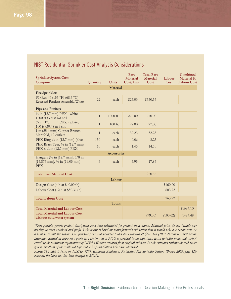## NIST Residential Sprinkler Cost Analysis Considerations

| <b>Sprinkler System Cost</b>                                                                                                      |                |              | <b>Bare</b><br><b>Material</b> | <b>Total Bare</b><br><b>Material</b> | Labour   | Combined<br>Material & |  |  |
|-----------------------------------------------------------------------------------------------------------------------------------|----------------|--------------|--------------------------------|--------------------------------------|----------|------------------------|--|--|
| Component                                                                                                                         | Quantity       | <b>Units</b> | Cost/Unit                      | Cost                                 | Cost     | <b>Labour Cost</b>     |  |  |
| Material                                                                                                                          |                |              |                                |                                      |          |                        |  |  |
| <b>Fire Sprinklers</b>                                                                                                            |                |              |                                |                                      |          |                        |  |  |
| F1/Res 49 (155 °F) (68.3 °C)<br>Recessed Pendent Assembly, White                                                                  | 22             | each         | \$25.03                        | \$550.55                             |          |                        |  |  |
| <b>Pipe and Fittings</b>                                                                                                          |                |              |                                |                                      |          |                        |  |  |
| $\frac{1}{2}$ in (12.7 mm) PEX - white,<br>1000 ft (304.8 m) coil                                                                 | $\mathbf{1}$   | 1000 ft.     | 270.00                         | 270.00                               |          |                        |  |  |
| $\frac{1}{2}$ in (12.7 mm) PEX - white,<br>100 ft (30.48 m) coil                                                                  | $\mathbf{1}$   | 100 ft.      | 27.00                          | 27.00                                |          |                        |  |  |
| 1 in (25.4 mm) Copper Branch<br>Manifold, 12 outlets                                                                              | $\mathbf{1}$   | each         | 32.23                          | 32.23                                |          |                        |  |  |
| PEX Ring $\frac{1}{2}$ in (12.7 mm) (blue                                                                                         | 150            | each         | 0.06                           | 8.25                                 |          |                        |  |  |
| PEX Brass Tees, 1/2 in (12.7 mm)<br>$PEX x \frac{1}{2}$ in (12.7 mm) PEX                                                          | 10             | each         | 1.45                           | 14.50                                |          |                        |  |  |
| Accessories                                                                                                                       |                |              |                                |                                      |          |                        |  |  |
| Hangers $(\frac{1}{2} \text{ in } [12.7 \text{ mm}], 5/8 \text{ in }$<br>$[15.875$ mm], $\frac{3}{4}$ in (19.05 mm)<br><b>PEX</b> | $\mathfrak{Z}$ | each         | 5.95                           | 17.85                                |          |                        |  |  |
| <b>Total Bare Material Cost</b>                                                                                                   |                |              |                                | 920.38                               |          |                        |  |  |
| Labour                                                                                                                            |                |              |                                |                                      |          |                        |  |  |
| Design Cost $(4 h at $40.00/h)$                                                                                                   |                |              |                                |                                      | \$160.00 |                        |  |  |
| Labour Cost $(12 h at $50.31/h)$                                                                                                  |                |              |                                |                                      | 603.72   |                        |  |  |
| <b>Total Labour Cost</b>                                                                                                          |                |              |                                |                                      | 763.72   |                        |  |  |
| <b>Totals</b>                                                                                                                     |                |              |                                |                                      |          |                        |  |  |
| <b>Total Material and Labour Cost</b>                                                                                             |                |              |                                |                                      |          | \$1684.10              |  |  |
| <b>Total Material and Labour Cost</b><br>without cold water system                                                                |                |              |                                | (99.00)                              | (100.62) | 1484.48                |  |  |

*Where possible, generic product descriptions have been substituted for product trade names. Material prices do not include any markup to cover overhead and profit. Labour cost is based on manufacturer's estimation that it would take a 2 person crew 12 h total to install the system. The sprinkler fitter and plumber trades are estimated at \$50.31/h (2007 National Construction Estimator, accessed at www.get-a-quote.net). Design cost of \$40/h is provided by manufacturer. Extra sprinkler heads and cabinet exceeding the minimum requirements of NFPA 13D were removed from original estimate. For the estimates without the cold water system, one-third of the combined pipe and 2 h of installation labor are subtracted.*

*Source: This table is based on NISTIR 7277, Economic Analysis of Residential Fire Sprinkler Systems (Brown 2005, page 12); however, the labor cost has been changed to \$50.31.*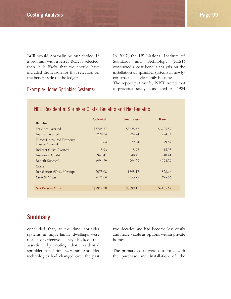BCR would normally be our choice. If a program with a lesser BCR is selected, then it is likely that we should have included the reason for that selection on the benefit side of the ledger.

Example: Home Sprinkler Systems<sup>2</sup>

In 2007, the US National Institute of Standards and Technology (NIST) conducted a cost-benefit analysis on the installation of sprinkler systems in newlyconstructed single-family housing.

The report put out by NIST noted that a previous study conducted in 1984

## **Colonial Townhouse Ranch Benefits** Fatalities Averted \$3725.57 \$3725.57 \$3725.57 Injuries Averted 224.74 224.74 224.74 Direct Uninsured Property Pricet Chinsuled 1 roperty 79.64 79.64 79.64 79.64 Indirect Costs Averted 15.93 15.93 15.93 Insurance Credit 948.41 948.41 948.41 Benefit Subtotal 1994.29 4994.29 4994.29 4994.29 4994.29 **Costs** Installation (50 % Markup) 2075.08 1895.17 828.66 *Costs Subtotal 2075.08 1895.17 828.66* **Net Present Value** \$2919.20 \$3099.11 \$4165.62

## NIST Residential Sprinkler Costs, Benefits and Net Benefits

# **Summary**

concluded that, at the time, sprinkler systems in single-family dwellings were not cost-effective. They backed this assertion by noting that residential sprinkler installations were rare. Sprinkler technologies had changed over the past

two decades and had become less costly and more viable as options within private homes.

The primary costs were associated with the purchase and installation of the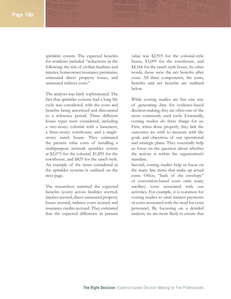sprinkler system. The expected benefits for residents included "reductions in the following: the risk of civilian fatalities and injuries, homeowner insurance premiums, uninsured direct property losses, and uninsured indirect costs."

The analysis was fairly sophisticated. The fact that sprinkler systems had a long life cycle was considered, with the costs and benefits being amortized and discounted to a reference period. Three different house types were considered, including a two-storey colonial with a basement, a three-storey townhouse, and a singlestorey ranch house. They estimated the present value costs of installing a multipurpose network sprinkler system at \$2,075 for the colonial, \$1,895 for the townhouse, and \$829 for the ranch-style. An example of the items considered in the sprinkler systems is outlined on the next page.

The researchers summed the expected benefits (costs) across fatalities averted, injuries averted, direct uninsured property losses averted, indirect costs averted and insurance credits accrued. They estimated that the expected difference in present value was \$2,919 for the colonial-style house, \$3,099 for the townhouse, and \$4,166 for the ranch-style house. In other words, those were the net benefits after costs. All three components, the costs, benefits and net benefits are outlined below.

While costing studies are but one way of generating data for evidence-based decision making, they are often one of the more commonly used tools. Essentially, costing studies do three things for us. First, when done properly, they link the outcomes we wish to measure with the goals and objectives of our operational and strategic plans. They essentially help us focus on the question about whether the activity is within the organization's mandate.

Second, costing studies help us focus on the many line items that make up actual costs. Often, "back of the envelope" or convention-based costs omit many ancillary costs associated with our activities. For example, it is common for costing studies to omit interest payments or costs associated with the need for extra personnel. By focussing on a detailed analysis, we are more likely to ensure that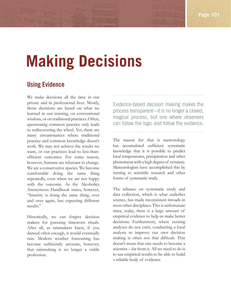# **Making Decisions**

## **Using Evidence**

We make decisions all the time in our private and in professional lives. Mostly, those decisions are based on what we learned in our training, on conventional wisdom, or on traditional practices. Often, questioning common practice only leads to rediscovering the wheel. Yet, there are many circumstances where traditional practice and common knowledge doesn't work. We may not achieve the results we want, or our practices lead to less-thanefficient outcomes. For some reason, however, humans are reluctant to change. We are a conservative species. We become comfortable doing the same thing repeatedly, even when we are not happy with the outcome. As the Alcoholics Anonymous Handbook states, however, "Insanity is doing the same thing, over and over again, but expecting different results."

Historically, we can forgive decision makers for pursuing timeworn rituals. After all, as rainmakers knew, if you danced often enough, it would eventually rain. Modern weather forecasting has become sufficiently accurate, however, that rainmaking is no longer a viable profession.

Evidence-based decision making makes the process transparent—it is no longer a closed, magical process, but one where observers can follow the logic and follow the evidence.

The reason for that is meteorology has accumulated sufficient systematic knowledge that it is possible to predict local temperatures, precipitation and other phenomena with a high degree of certainty. Meteorologists have accomplished this by turning to scientific research and other forms of systematic study.

The reliance on systematic study and data collection, which is what underlies science, has made inconsistent inroads in most other disciplines. This is unfortunate since, today, there is a large amount of empirical evidence to help us make better decisions. Furthermore, where existing analyses do not exist, conducting a local analysis to improve our own decision making is often not that difficult. This doesn't mean that one needs to become a scientist—far from it. All we need to do is to use empirical results to be able to build a reliable body of evidence.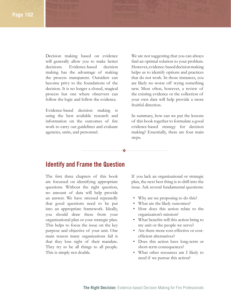Decision making based on evidence will generally allow you to make better decisions. Evidence-based decision making has the advantage of making the process transparent. Outsiders can become privy to the foundations of the decision. It is no longer a closed, magical process but one where observers can follow the logic and follow the evidence.

Evidence-based decision making is using the best available research and information on the outcomes of fire work to carry out guidelines and evaluate agencies, units, and personnel.

We are not suggesting that you can always find an optimal solution to your problem. However, evidence-based decision making helps us to identify options and practices that do not work. In those instances, you are likely no worse off trying something new. Most often, however, a review of the existing evidence or the collection of your own data will help provide a more fruitful direction.

In summary, how can we put the lessons of this book together to formulate a good evidence-based strategy for decision making? Essentially, there are four main steps.

## **Identify and Frame the Question**

❖

The first three chapters of this book are focussed on identifying appropriate questions. Without the right question, no amount of data will help provide an answer. We have stressed repeatedly that good questions need to be put into an appropriate framework. Ideally, you should draw these from your organizational plan or your strategic plan. This helps to focus the issue on the key purpose and objective of your unit. One main reason many organizations fail is that they lose sight of their mandate. They try to be all things to all people. This is simply not doable.

If you lack an organizational or strategic plan, the next best thing is to drill into the issue. Ask several fundamental questions:

- Why are we proposing to do this?
- What are the likely outcomes?
- How does this action relate to the organization's mission?
- What benefits will this action bring to my unit or the people we serve?
- Are there more cost-effective or costefficient alternatives?
- Does this action have long-term or short-term consequences?
- What other resources am I likely to need if we pursue this action?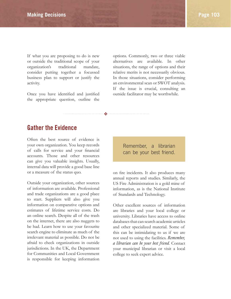If what you are proposing to do is new or outside the traditional scope of your organization's traditional mandate, consider putting together a focussed business plan to support or justify the activity.

Once you have identified and justified the appropriate question, outline the

❖

options. Commonly, two or three viable alternatives are available. In other situations, the range of options and their relative merits is not necessarily obvious. In those situations, consider performing an environmental scan or SWOT analysis. If the issue is crucial, consulting an outside facilitator may be worthwhile.

## **Gather the Evidence**

Often the best source of evidence is your own organization. You keep records of calls for service and your financial accounts. Those and other resources can give you valuable insights. Usually, internal data will provide a good base line or a measure of the status quo.

Outside your organization, other sources of information are available. Professional and trade organizations are a good place to start. Suppliers will also give you information on comparative options and estimates of lifetime service costs. Do an online search. Despite all of the trash on the internet, there are also nuggets to be had. Learn how to use your favourite search engine to eliminate as much of the irrelevant material as possible. Do not be afraid to check organizations in outside jurisdictions. In the UK, the Department for Communities and Local Government is responsible for keeping information

Remember, a librarian can be your best friend.

on fire incidents. It also produces many annual reports and studies. Similarly, the US Fire Administration is a gold mine of information, as is the National Institute of Standards and Technology.

Other excellent sources of information are libraries and your local college or university. Libraries have access to online databases that can search academic articles and other specialized material. Some of this can be intimidating to us if we are not used to using the facilities. *Remember, a librarian can be your best friend.* Contact your municipal librarian or visit a local college to seek expert advice.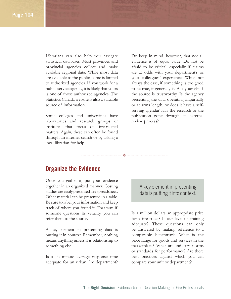Librarians can also help you navigate statistical databases. Most provinces and provincial agencies collect and make available regional data. While most data are available to the public, some is limited to authorized agencies. If you work for a public service agency, it is likely that yours is one of those authorized agencies. The Statistics Canada website is also a valuable source of information.

Some colleges and universities have laboratories and research groups or institutes that focus on fire-related matters. Again, these can often be found through an internet search or by asking a local librarian for help.

Do keep in mind, however, that not all evidence is of equal value. Do not be afraid to be critical, especially if claims are at odds with your department's or your colleagues' experience. While not always the case, if something is too good to be true, it generally is. Ask yourself if the source is trustworthy. Is the agency presenting the data operating impartially or at arms length, or does it have a selfserving agenda? Has the research or the publication gone through an external review process?

## **Organize the Evidence**

Once you gather it, put your evidence together in an organized manner. Costing studies are easily presented in a spreadsheet. Other material can be presented in a table. Be sure to label your information and keep track of where you found it. That way, if someone questions its veracity, you can refer them to the source.

A key element in presenting data is putting it in context. Remember, nothing means anything unless it is relationship to something else.

Is a six-minute average response time adequate for an urban fire department?

A key element in presenting data is putting it into context.

Is a million dollars an appropriate price for a fire truck? Is our level of training adequate? These questions can only be answered by making reference to a comparable benchmark. What is the price range for goods and services in the marketplace? What are industry norms or standards for performance? Are there best practices against which you can compare your unit or department?

❖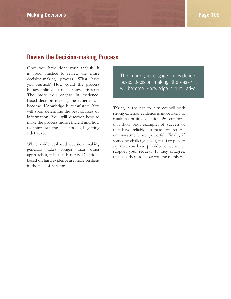## **Review the Decision-making Process**

Once you have done your analysis, it is good practice to review the entire decision-making process. What have you learned? How could the process be streamlined or made more efficient? The more you engage in evidencebased decision making, the easier it will become. Knowledge is cumulative. You will soon determine the best sources of information. You will discover how to make the process more efficient and how to minimize the likelihood of getting sidetracked.

While evidence-based decision making generally takes longer than other approaches, it has its benefits. Decisions based on hard evidence are more resilient in the face of scrutiny.

The more you engage in evidencebased decision making, the easier it will become. Knowledge is cumulative.

Taking a request to city council with strong external evidence is more likely to result in a positive decision. Presentations that show prior examples of success or that have reliable estimates of returns on investment are powerful. Finally, if someone challenges you, it is fair play to say that you have provided evidence to support your request. If they disagree, then ask them to show you the numbers.